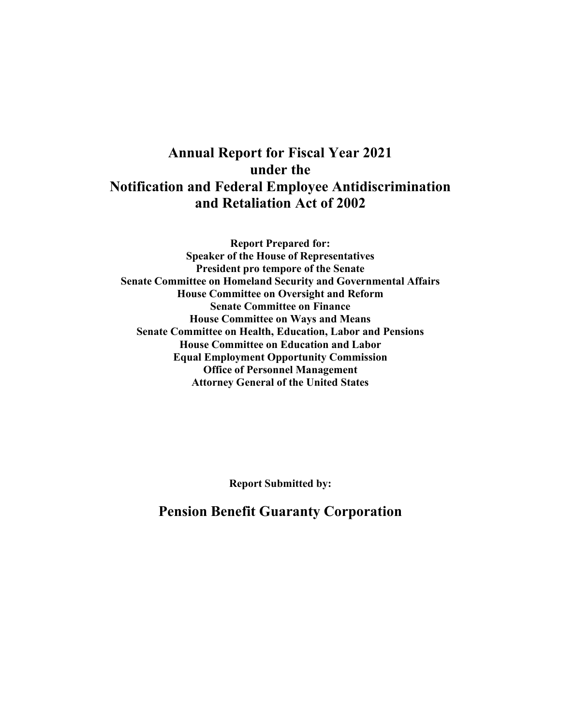# **Annual Report for Fiscal Year 2021 under the Notification and Federal Employee Antidiscrimination and Retaliation Act of 2002**

**Report Prepared for: Speaker of the House of Representatives President pro tempore of the Senate Senate Committee on Homeland Security and Governmental Affairs House Committee on Oversight and Reform Senate Committee on Finance House Committee on Ways and Means Senate Committee on Health, Education, Labor and Pensions House Committee on Education and Labor Equal Employment Opportunity Commission Office of Personnel Management Attorney General of the United States**

**Report Submitted by:** 

**Pension Benefit Guaranty Corporation**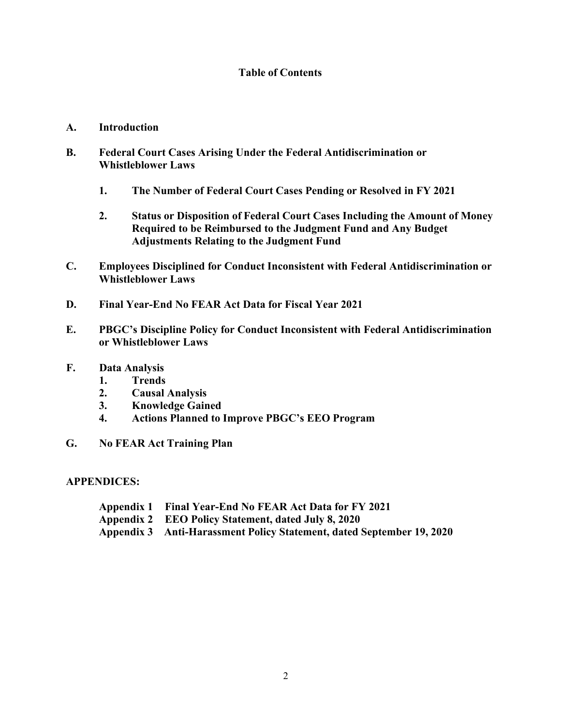## **Table of Contents**

#### **A. Introduction**

- **B. Federal Court Cases Arising Under the Federal Antidiscrimination or Whistleblower Laws**
	- **1. The Number of Federal Court Cases Pending or Resolved in FY 2021**
	- **2. Status or Disposition of Federal Court Cases Including the Amount of Money Required to be Reimbursed to the Judgment Fund and Any Budget Adjustments Relating to the Judgment Fund**
- **C. Employees Disciplined for Conduct Inconsistent with Federal Antidiscrimination or Whistleblower Laws**
- **D. Final Year-End No FEAR Act Data for Fiscal Year 2021**
- **E. PBGC's Discipline Policy for Conduct Inconsistent with Federal Antidiscrimination or Whistleblower Laws**
- **F. Data Analysis**
	- **1. Trends**
	- **2. Causal Analysis**
	- **3. Knowledge Gained**
	- **4. Actions Planned to Improve PBGC's EEO Program**
- **G. No FEAR Act Training Plan**

#### **APPENDICES:**

- **Appendix 1 Final Year-End No FEAR Act Data for FY 2021**
- **Appendix 2 EEO Policy Statement, dated July 8, 2020**
- **Appendix 3 Anti-Harassment Policy Statement, dated September 19, 2020**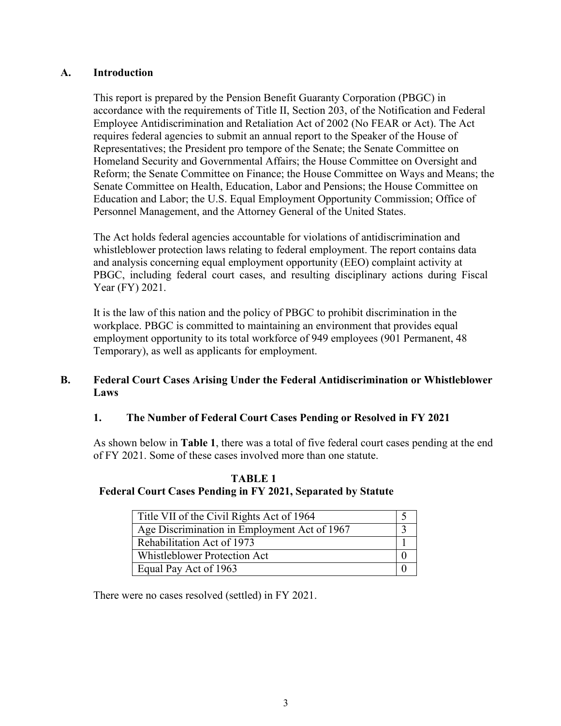### **A. Introduction**

This report is prepared by the Pension Benefit Guaranty Corporation (PBGC) in accordance with the requirements of Title II, Section 203, of the Notification and Federal Employee Antidiscrimination and Retaliation Act of 2002 (No FEAR or Act). The Act requires federal agencies to submit an annual report to the Speaker of the House of Representatives; the President pro tempore of the Senate; the Senate Committee on Homeland Security and Governmental Affairs; the House Committee on Oversight and Reform; the Senate Committee on Finance; the House Committee on Ways and Means; the Senate Committee on Health, Education, Labor and Pensions; the House Committee on Education and Labor; the U.S. Equal Employment Opportunity Commission; Office of Personnel Management, and the Attorney General of the United States.

The Act holds federal agencies accountable for violations of antidiscrimination and whistleblower protection laws relating to federal employment. The report contains data and analysis concerning equal employment opportunity (EEO) complaint activity at PBGC, including federal court cases, and resulting disciplinary actions during Fiscal Year (FY) 2021.

It is the law of this nation and the policy of PBGC to prohibit discrimination in the workplace. PBGC is committed to maintaining an environment that provides equal employment opportunity to its total workforce of 949 employees (901 Permanent, 48 Temporary), as well as applicants for employment.

#### **B. Federal Court Cases Arising Under the Federal Antidiscrimination or Whistleblower Laws**

## **1. The Number of Federal Court Cases Pending or Resolved in FY 2021**

As shown below in **Table 1**, there was a total of five federal court cases pending at the end of FY 2021. Some of these cases involved more than one statute.

## **TABLE 1 Federal Court Cases Pending in FY 2021, Separated by Statute**

| Title VII of the Civil Rights Act of 1964    |  |
|----------------------------------------------|--|
| Age Discrimination in Employment Act of 1967 |  |
| Rehabilitation Act of 1973                   |  |
| <b>Whistleblower Protection Act</b>          |  |
| Equal Pay Act of 1963                        |  |

There were no cases resolved (settled) in FY 2021.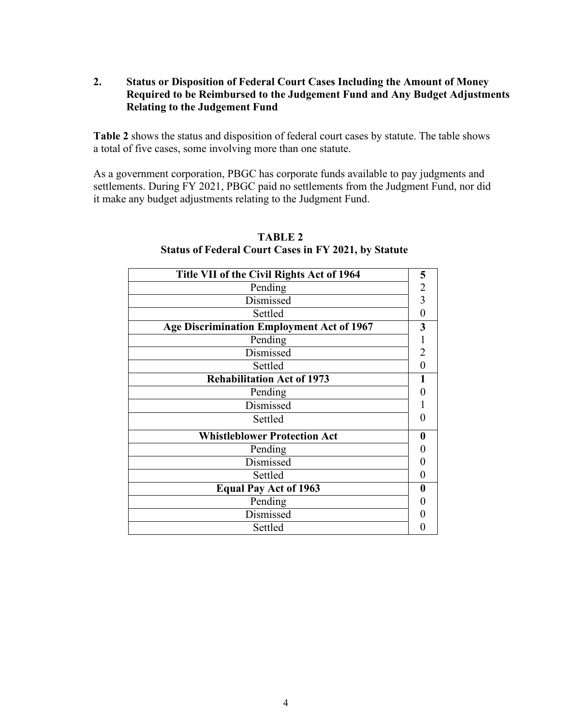**2. Status or Disposition of Federal Court Cases Including the Amount of Money Required to be Reimbursed to the Judgement Fund and Any Budget Adjustments Relating to the Judgement Fund** 

**Table 2** shows the status and disposition of federal court cases by statute. The table shows a total of five cases, some involving more than one statute.

As a government corporation, PBGC has corporate funds available to pay judgments and settlements. During FY 2021, PBGC paid no settlements from the Judgment Fund, nor did it make any budget adjustments relating to the Judgment Fund.

| Title VII of the Civil Rights Act of 1964        | 5              |
|--------------------------------------------------|----------------|
| Pending                                          | $\frac{2}{3}$  |
| Dismissed                                        |                |
| Settled                                          | 0              |
| <b>Age Discrimination Employment Act of 1967</b> | 3              |
| Pending                                          |                |
| Dismissed                                        | 2              |
| Settled                                          | $\overline{0}$ |
| <b>Rehabilitation Act of 1973</b>                |                |
| Pending                                          |                |
| Dismissed                                        |                |
| Settled                                          |                |
| <b>Whistleblower Protection Act</b>              |                |
| Pending                                          |                |
| Dismissed                                        |                |
| Settled                                          |                |
| <b>Equal Pay Act of 1963</b>                     |                |
| Pending                                          |                |
| Dismissed                                        |                |
| Settled                                          |                |
|                                                  |                |

### **TABLE 2 Status of Federal Court Cases in FY 2021, by Statute**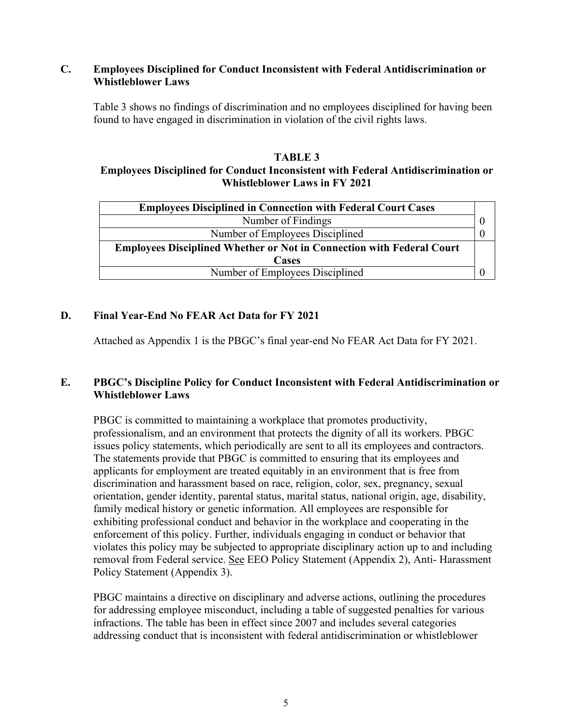#### **C. Employees Disciplined for Conduct Inconsistent with Federal Antidiscrimination or Whistleblower Laws**

Table 3 shows no findings of discrimination and no employees disciplined for having been found to have engaged in discrimination in violation of the civil rights laws.

### **TABLE 3 Employees Disciplined for Conduct Inconsistent with Federal Antidiscrimination or Whistleblower Laws in FY 2021**

| <b>Employees Disciplined in Connection with Federal Court Cases</b>          |  |
|------------------------------------------------------------------------------|--|
| Number of Findings                                                           |  |
| Number of Employees Disciplined                                              |  |
| <b>Employees Disciplined Whether or Not in Connection with Federal Court</b> |  |
| <b>Cases</b>                                                                 |  |
| Number of Employees Disciplined                                              |  |

# **D. Final Year-End No FEAR Act Data for FY 2021**

Attached as Appendix 1 is the PBGC's final year-end No FEAR Act Data for FY 2021.

# **E. PBGC's Discipline Policy for Conduct Inconsistent with Federal Antidiscrimination or Whistleblower Laws**

PBGC is committed to maintaining a workplace that promotes productivity, professionalism, and an environment that protects the dignity of all its workers. PBGC issues policy statements, which periodically are sent to all its employees and contractors. The statements provide that PBGC is committed to ensuring that its employees and applicants for employment are treated equitably in an environment that is free from discrimination and harassment based on race, religion, color, sex, pregnancy, sexual orientation, gender identity, parental status, marital status, national origin, age, disability, family medical history or genetic information. All employees are responsible for exhibiting professional conduct and behavior in the workplace and cooperating in the enforcement of this policy. Further, individuals engaging in conduct or behavior that violates this policy may be subjected to appropriate disciplinary action up to and including removal from Federal service. See EEO Policy Statement (Appendix 2), Anti- Harassment Policy Statement (Appendix 3).

PBGC maintains a directive on disciplinary and adverse actions, outlining the procedures for addressing employee misconduct, including a table of suggested penalties for various infractions. The table has been in effect since 2007 and includes several categories addressing conduct that is inconsistent with federal antidiscrimination or whistleblower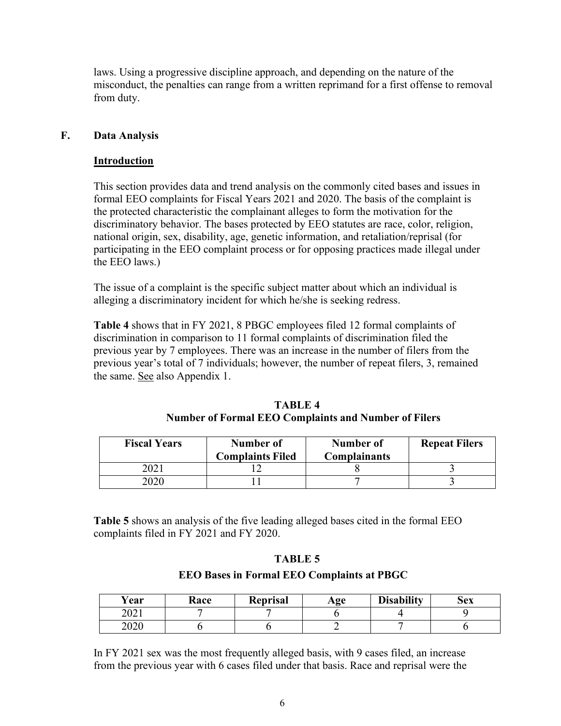laws. Using a progressive discipline approach, and depending on the nature of the misconduct, the penalties can range from a written reprimand for a first offense to removal from duty.

### **F. Data Analysis**

#### **Introduction**

This section provides data and trend analysis on the commonly cited bases and issues in formal EEO complaints for Fiscal Years 2021 and 2020. The basis of the complaint is the protected characteristic the complainant alleges to form the motivation for the discriminatory behavior. The bases protected by EEO statutes are race, color, religion, national origin, sex, disability, age, genetic information, and retaliation/reprisal (for participating in the EEO complaint process or for opposing practices made illegal under the EEO laws.)

The issue of a complaint is the specific subject matter about which an individual is alleging a discriminatory incident for which he/she is seeking redress.

**Table 4** shows that in FY 2021, 8 PBGC employees filed 12 formal complaints of discrimination in comparison to 11 formal complaints of discrimination filed the previous year by 7 employees. There was an increase in the number of filers from the previous year's total of 7 individuals; however, the number of repeat filers, 3, remained the same. See also Appendix 1.

| TABLE 4                                                     |
|-------------------------------------------------------------|
| <b>Number of Formal EEO Complaints and Number of Filers</b> |

| <b>Fiscal Years</b> | Number of<br><b>Complaints Filed</b> | Number of<br><b>Complainants</b> | <b>Repeat Filers</b> |  |
|---------------------|--------------------------------------|----------------------------------|----------------------|--|
|                     |                                      |                                  |                      |  |
|                     |                                      |                                  |                      |  |

**Table 5** shows an analysis of the five leading alleged bases cited in the formal EEO complaints filed in FY 2021 and FY 2020.

#### **TABLE 5**

#### **EEO Bases in Formal EEO Complaints at PBGC**

| ∕ear        | Race | <b>Reprisal</b> | $\bf{Age}$ | <b>Disability</b> | Sex |
|-------------|------|-----------------|------------|-------------------|-----|
| ດ∩າ<br>ZUZI |      |                 |            |                   |     |
| 2020        |      |                 |            |                   |     |

In FY 2021 sex was the most frequently alleged basis, with 9 cases filed, an increase from the previous year with 6 cases filed under that basis. Race and reprisal were the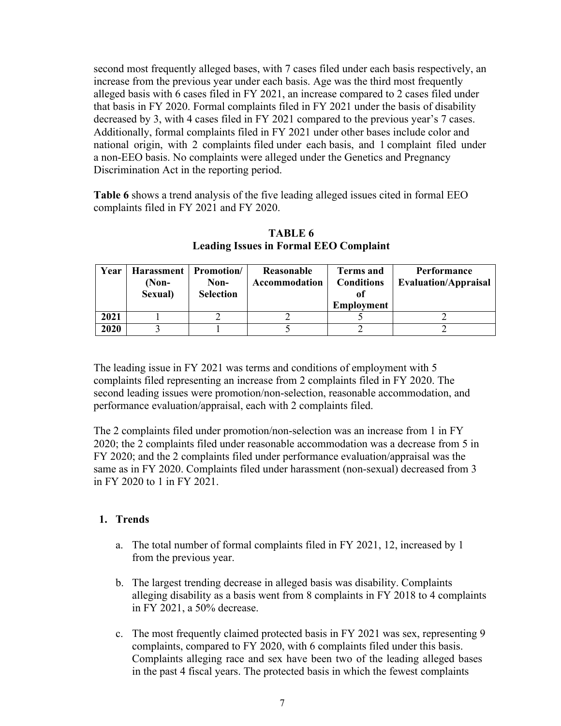second most frequently alleged bases, with 7 cases filed under each basis respectively, an increase from the previous year under each basis. Age was the third most frequently alleged basis with 6 cases filed in FY 2021, an increase compared to 2 cases filed under that basis in FY 2020. Formal complaints filed in FY 2021 under the basis of disability decreased by 3, with 4 cases filed in FY 2021 compared to the previous year's 7 cases. Additionally, formal complaints filed in FY 2021 under other bases include color and national origin, with 2 complaints filed under each basis, and 1 complaint filed under a non-EEO basis. No complaints were alleged under the Genetics and Pregnancy Discrimination Act in the reporting period.

**Table 6** shows a trend analysis of the five leading alleged issues cited in formal EEO complaints filed in FY 2021 and FY 2020.

| Year | Harassment | <b>Promotion</b> | Reasonable    | <b>Terms and</b>  | Performance                 |
|------|------------|------------------|---------------|-------------------|-----------------------------|
|      | (Non-      | Non-             | Accommodation | <b>Conditions</b> | <b>Evaluation/Appraisal</b> |
|      | Sexual)    | <b>Selection</b> |               | ot                |                             |
|      |            |                  |               | <b>Employment</b> |                             |
| 2021 |            |                  |               |                   |                             |
| 2020 |            |                  |               |                   |                             |

**TABLE 6 Leading Issues in Formal EEO Complaint**

The leading issue in FY 2021 was terms and conditions of employment with 5 complaints filed representing an increase from 2 complaints filed in FY 2020. The second leading issues were promotion/non-selection, reasonable accommodation, and performance evaluation/appraisal, each with 2 complaints filed.

The 2 complaints filed under promotion/non-selection was an increase from 1 in FY 2020; the 2 complaints filed under reasonable accommodation was a decrease from 5 in FY 2020; and the 2 complaints filed under performance evaluation/appraisal was the same as in FY 2020. Complaints filed under harassment (non-sexual) decreased from 3 in FY 2020 to 1 in FY 2021.

## **1. Trends**

- a. The total number of formal complaints filed in FY 2021, 12, increased by 1 from the previous year.
- b. The largest trending decrease in alleged basis was disability. Complaints alleging disability as a basis went from 8 complaints in FY 2018 to 4 complaints in FY 2021, a 50% decrease.
- c. The most frequently claimed protected basis in FY 2021 was sex, representing 9 complaints, compared to FY 2020, with 6 complaints filed under this basis. Complaints alleging race and sex have been two of the leading alleged bases in the past 4 fiscal years. The protected basis in which the fewest complaints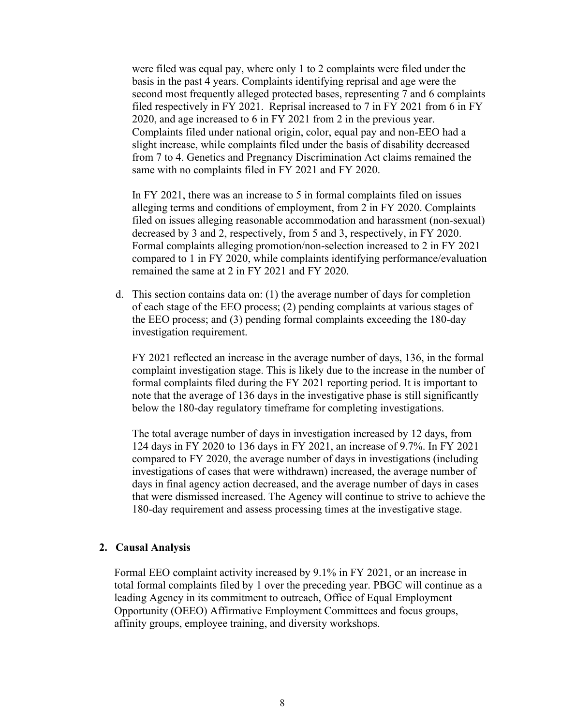were filed was equal pay, where only 1 to 2 complaints were filed under the basis in the past 4 years. Complaints identifying reprisal and age were the second most frequently alleged protected bases, representing 7 and 6 complaints filed respectively in FY 2021. Reprisal increased to 7 in FY 2021 from 6 in FY 2020, and age increased to 6 in FY 2021 from 2 in the previous year. Complaints filed under national origin, color, equal pay and non-EEO had a slight increase, while complaints filed under the basis of disability decreased from 7 to 4. Genetics and Pregnancy Discrimination Act claims remained the same with no complaints filed in FY 2021 and FY 2020.

In FY 2021, there was an increase to 5 in formal complaints filed on issues alleging terms and conditions of employment, from 2 in FY 2020. Complaints filed on issues alleging reasonable accommodation and harassment (non-sexual) decreased by 3 and 2, respectively, from 5 and 3, respectively, in FY 2020. Formal complaints alleging promotion/non-selection increased to 2 in FY 2021 compared to 1 in FY 2020, while complaints identifying performance/evaluation remained the same at 2 in FY 2021 and FY 2020.

d. This section contains data on: (1) the average number of days for completion of each stage of the EEO process; (2) pending complaints at various stages of the EEO process; and (3) pending formal complaints exceeding the 180-day investigation requirement.

FY 2021 reflected an increase in the average number of days, 136, in the formal complaint investigation stage. This is likely due to the increase in the number of formal complaints filed during the FY 2021 reporting period. It is important to note that the average of 136 days in the investigative phase is still significantly below the 180-day regulatory timeframe for completing investigations.

The total average number of days in investigation increased by 12 days, from 124 days in FY 2020 to 136 days in FY 2021, an increase of 9.7%. In FY 2021 compared to FY 2020, the average number of days in investigations (including investigations of cases that were withdrawn) increased, the average number of days in final agency action decreased, and the average number of days in cases that were dismissed increased. The Agency will continue to strive to achieve the 180-day requirement and assess processing times at the investigative stage.

#### **2. Causal Analysis**

Formal EEO complaint activity increased by 9.1% in FY 2021, or an increase in total formal complaints filed by 1 over the preceding year. PBGC will continue as a leading Agency in its commitment to outreach, Office of Equal Employment Opportunity (OEEO) Affirmative Employment Committees and focus groups, affinity groups, employee training, and diversity workshops.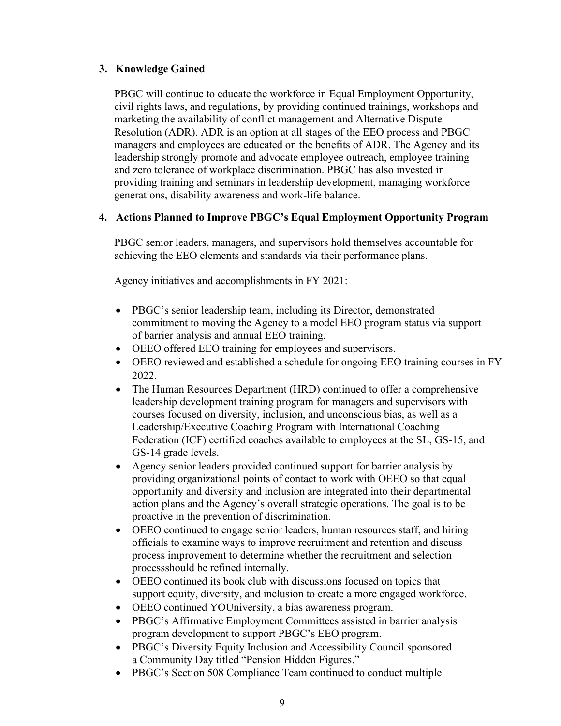### **3. Knowledge Gained**

PBGC will continue to educate the workforce in Equal Employment Opportunity, civil rights laws, and regulations, by providing continued trainings, workshops and marketing the availability of conflict management and Alternative Dispute Resolution (ADR). ADR is an option at all stages of the EEO process and PBGC managers and employees are educated on the benefits of ADR. The Agency and its leadership strongly promote and advocate employee outreach, employee training and zero tolerance of workplace discrimination. PBGC has also invested in providing training and seminars in leadership development, managing workforce generations, disability awareness and work-life balance.

#### **4. Actions Planned to Improve PBGC's Equal Employment Opportunity Program**

PBGC senior leaders, managers, and supervisors hold themselves accountable for achieving the EEO elements and standards via their performance plans.

Agency initiatives and accomplishments in FY 2021:

- PBGC's senior leadership team, including its Director, demonstrated commitment to moving the Agency to a model EEO program status via support of barrier analysis and annual EEO training.
- OEEO offered EEO training for employees and supervisors.
- OEEO reviewed and established a schedule for ongoing EEO training courses in FY 2022.
- The Human Resources Department (HRD) continued to offer a comprehensive leadership development training program for managers and supervisors with courses focused on diversity, inclusion, and unconscious bias, as well as a Leadership/Executive Coaching Program with International Coaching Federation (ICF) certified coaches available to employees at the SL, GS-15, and GS-14 grade levels.
- Agency senior leaders provided continued support for barrier analysis by providing organizational points of contact to work with OEEO so that equal opportunity and diversity and inclusion are integrated into their departmental action plans and the Agency's overall strategic operations. The goal is to be proactive in the prevention of discrimination.
- OEEO continued to engage senior leaders, human resources staff, and hiring officials to examine ways to improve recruitment and retention and discuss process improvement to determine whether the recruitment and selection processshould be refined internally.
- OEEO continued its book club with discussions focused on topics that support equity, diversity, and inclusion to create a more engaged workforce.
- OEEO continued YOUniversity, a bias awareness program.
- PBGC's Affirmative Employment Committees assisted in barrier analysis program development to support PBGC's EEO program.
- PBGC's Diversity Equity Inclusion and Accessibility Council sponsored a Community Day titled "Pension Hidden Figures."
- PBGC's Section 508 Compliance Team continued to conduct multiple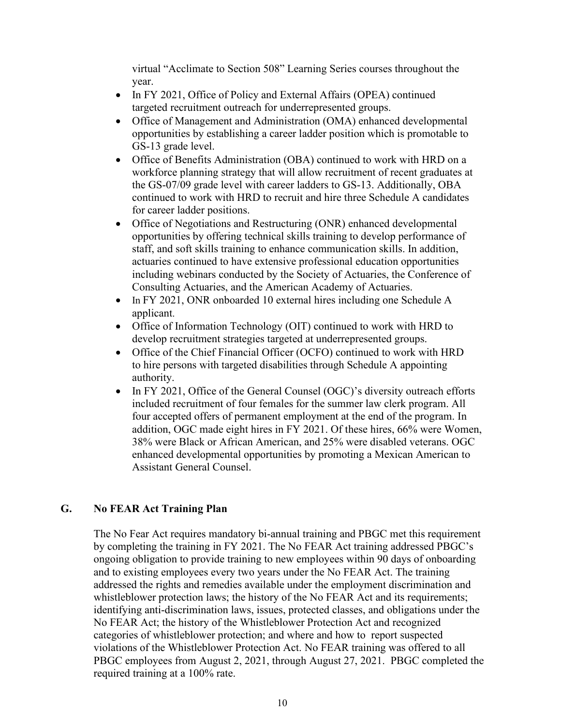virtual "Acclimate to Section 508" Learning Series courses throughout the year.

- In FY 2021, Office of Policy and External Affairs (OPEA) continued targeted recruitment outreach for underrepresented groups.
- Office of Management and Administration (OMA) enhanced developmental opportunities by establishing a career ladder position which is promotable to GS-13 grade level.
- Office of Benefits Administration (OBA) continued to work with HRD on a workforce planning strategy that will allow recruitment of recent graduates at the GS-07/09 grade level with career ladders to GS-13. Additionally, OBA continued to work with HRD to recruit and hire three Schedule A candidates for career ladder positions.
- Office of Negotiations and Restructuring (ONR) enhanced developmental opportunities by offering technical skills training to develop performance of staff, and soft skills training to enhance communication skills. In addition, actuaries continued to have extensive professional education opportunities including webinars conducted by the Society of Actuaries, the Conference of Consulting Actuaries, and the American Academy of Actuaries.
- In FY 2021, ONR onboarded 10 external hires including one Schedule A applicant.
- Office of Information Technology (OIT) continued to work with HRD to develop recruitment strategies targeted at underrepresented groups.
- Office of the Chief Financial Officer (OCFO) continued to work with HRD to hire persons with targeted disabilities through Schedule A appointing authority.
- In FY 2021, Office of the General Counsel (OGC)'s diversity outreach efforts included recruitment of four females for the summer law clerk program. All four accepted offers of permanent employment at the end of the program. In addition, OGC made eight hires in FY 2021. Of these hires, 66% were Women, 38% were Black or African American, and 25% were disabled veterans. OGC enhanced developmental opportunities by promoting a Mexican American to Assistant General Counsel.

## **G. No FEAR Act Training Plan**

The No Fear Act requires mandatory bi-annual training and PBGC met this requirement by completing the training in FY 2021. The No FEAR Act training addressed PBGC's ongoing obligation to provide training to new employees within 90 days of onboarding and to existing employees every two years under the No FEAR Act. The training addressed the rights and remedies available under the employment discrimination and whistleblower protection laws; the history of the No FEAR Act and its requirements; identifying anti-discrimination laws, issues, protected classes, and obligations under the No FEAR Act; the history of the Whistleblower Protection Act and recognized categories of whistleblower protection; and where and how to report suspected violations of the Whistleblower Protection Act. No FEAR training was offered to all PBGC employees from August 2, 2021, through August 27, 2021. PBGC completed the required training at a 100% rate.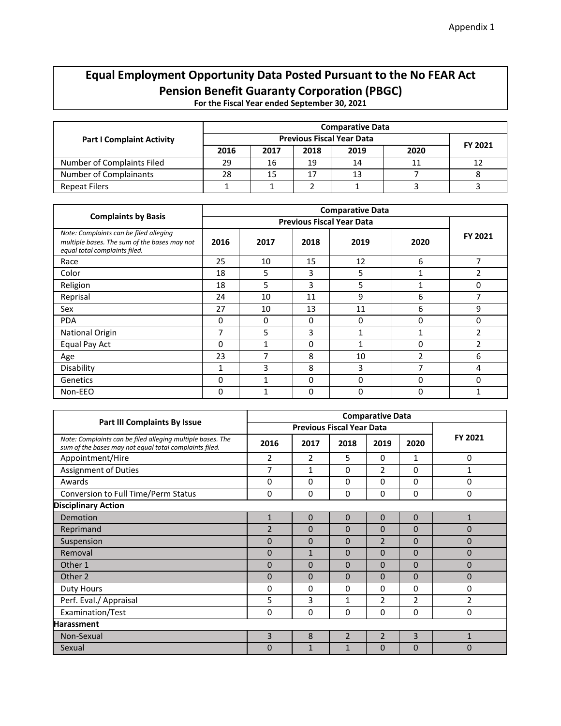# **Equal Employment Opportunity Data Posted Pursuant to the No FEAR Act Pension Benefit Guaranty Corporation (PBGC)**

**For the Fiscal Year ended September 30, 2021** 

|                                  |      | <b>Comparative Data</b>          |      |      |      |         |  |  |  |
|----------------------------------|------|----------------------------------|------|------|------|---------|--|--|--|
| <b>Part I Complaint Activity</b> |      | <b>Previous Fiscal Year Data</b> |      |      |      |         |  |  |  |
|                                  | 2016 | 2017                             | 2018 | 2019 | 2020 | FY 2021 |  |  |  |
| Number of Complaints Filed       | 29   | 16                               | 19   | 14   |      | 12      |  |  |  |
| Number of Complainants           | 28   | 15                               | 17   | 13   |      |         |  |  |  |
| <b>Repeat Filers</b>             |      |                                  |      |      |      |         |  |  |  |

|                                                                                                                         |              |      |          | <b>Comparative Data</b>          |                |                |
|-------------------------------------------------------------------------------------------------------------------------|--------------|------|----------|----------------------------------|----------------|----------------|
| <b>Complaints by Basis</b>                                                                                              |              |      |          | <b>Previous Fiscal Year Data</b> |                |                |
| Note: Complaints can be filed alleging<br>multiple bases. The sum of the bases may not<br>equal total complaints filed. | 2016         | 2017 | 2018     | 2019                             | 2020           | FY 2021        |
| Race                                                                                                                    | 25           | 10   | 15       | 12                               | 6              | 7              |
| Color                                                                                                                   | 18           | 5    | 3        | 5                                | 1              | 2              |
| Religion                                                                                                                | 18           | 5    | 3        | 5                                | 1              | 0              |
| Reprisal                                                                                                                | 24           | 10   | 11       | 9                                | 6              |                |
| Sex                                                                                                                     | 27           | 10   | 13       | 11                               | 6              | 9              |
| <b>PDA</b>                                                                                                              | $\Omega$     | 0    | 0        | $\Omega$                         | 0              | 0              |
| <b>National Origin</b>                                                                                                  | 7            | 5    | 3        | 1                                | 1              | $\overline{2}$ |
| Equal Pay Act                                                                                                           | $\Omega$     |      | $\Omega$ | 1                                | 0              | 2              |
| Age                                                                                                                     | 23           | 7    | 8        | 10                               | $\overline{2}$ | 6              |
| Disability                                                                                                              | $\mathbf{1}$ | 3    | 8        | 3                                | 7              | 4              |
| Genetics                                                                                                                | $\mathbf 0$  |      | 0        | $\mathbf 0$                      | 0              | 0              |
| Non-EEO                                                                                                                 | 0            |      | 0        | 0                                | 0              | 1              |

|                                                                                                                      | <b>Comparative Data</b> |                |                |                |                |                |  |
|----------------------------------------------------------------------------------------------------------------------|-------------------------|----------------|----------------|----------------|----------------|----------------|--|
| Part III Complaints By Issue                                                                                         |                         |                |                |                |                |                |  |
| Note: Complaints can be filed alleging multiple bases. The<br>sum of the bases may not equal total complaints filed. | 2016                    | 2017           | 2018           | 2019           | 2020           | FY 2021        |  |
| Appointment/Hire                                                                                                     | 2                       | $\overline{2}$ | 5              | $\Omega$       | $\mathbf{1}$   | 0              |  |
| <b>Assignment of Duties</b>                                                                                          | 7                       | $\mathbf{1}$   | 0              | 2              | $\Omega$       | 1              |  |
| Awards                                                                                                               | $\Omega$                | $\Omega$       | 0              | 0              | $\mathbf 0$    | 0              |  |
| Conversion to Full Time/Perm Status                                                                                  | $\Omega$                | 0              | 0              | $\Omega$       | $\Omega$       | 0              |  |
| <b>Disciplinary Action</b>                                                                                           |                         |                |                |                |                |                |  |
| Demotion                                                                                                             | $\mathbf{1}$            | $\overline{0}$ | $\Omega$       | $\mathbf 0$    | $\Omega$       | $\mathbf{1}$   |  |
| Reprimand                                                                                                            | $\overline{2}$          | $\Omega$       | 0              | $\Omega$       | $\Omega$       | 0              |  |
| Suspension                                                                                                           | $\Omega$                | $\mathbf{0}$   | 0              | $\overline{2}$ | $\Omega$       | $\mathbf{0}$   |  |
| Removal                                                                                                              | $\Omega$                | $\mathbf{1}$   | $\overline{0}$ | $\Omega$       | $\Omega$       | 0              |  |
| Other 1                                                                                                              | $\Omega$                | $\Omega$       | $\overline{0}$ | $\Omega$       | $\Omega$       | $\mathbf{0}$   |  |
| Other 2                                                                                                              | $\Omega$                | $\Omega$       | $\overline{0}$ | $\Omega$       | $\Omega$       | 0              |  |
| Duty Hours                                                                                                           | $\Omega$                | $\Omega$       | 0              | 0              | $\Omega$       | 0              |  |
| Perf. Eval./ Appraisal                                                                                               | 5                       | 3              | $\mathbf{1}$   | $\overline{2}$ | $\overline{2}$ | $\overline{2}$ |  |
| Examination/Test                                                                                                     | $\Omega$                | 0              | 0              | 0              | 0              | 0              |  |
| <b>Harassment</b>                                                                                                    |                         |                |                |                |                |                |  |
| Non-Sexual                                                                                                           | 3                       | 8              | $\overline{2}$ | $\overline{2}$ | $\overline{3}$ | 1              |  |
| Sexual                                                                                                               | $\Omega$                | 1              | 1              | $\Omega$       | $\mathbf{0}$   | 0              |  |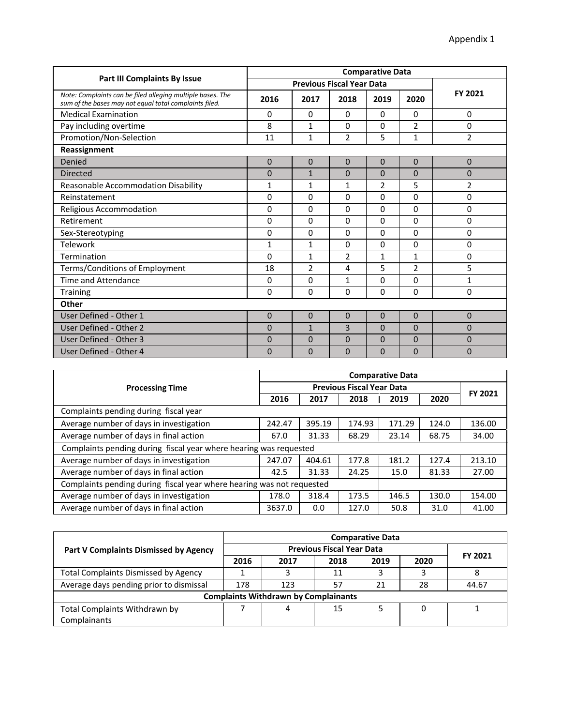|                                                                                                                      | <b>Comparative Data</b> |                |                                  |              |                |                |  |
|----------------------------------------------------------------------------------------------------------------------|-------------------------|----------------|----------------------------------|--------------|----------------|----------------|--|
| <b>Part III Complaints By Issue</b>                                                                                  |                         |                | <b>Previous Fiscal Year Data</b> |              |                |                |  |
| Note: Complaints can be filed alleging multiple bases. The<br>sum of the bases may not equal total complaints filed. | 2016                    | 2017           | 2018                             | 2019         | 2020           | FY 2021        |  |
| <b>Medical Examination</b>                                                                                           | $\Omega$                | 0              | $\Omega$                         | $\Omega$     | $\Omega$       | 0              |  |
| Pay including overtime                                                                                               | 8                       | $\mathbf{1}$   | $\Omega$                         | $\Omega$     | $\overline{2}$ | $\mathbf 0$    |  |
| Promotion/Non-Selection                                                                                              | 11                      | $\mathbf{1}$   | $\overline{2}$                   | 5            | $\mathbf{1}$   | $\overline{2}$ |  |
| Reassignment                                                                                                         |                         |                |                                  |              |                |                |  |
| Denied                                                                                                               | $\Omega$                | $\overline{0}$ | $\Omega$                         | $\mathbf 0$  | $\mathbf{0}$   | $\mathbf 0$    |  |
| <b>Directed</b>                                                                                                      | $\mathbf{0}$            | $\mathbf{1}$   | $\mathbf{0}$                     | $\Omega$     | $\Omega$       | $\overline{0}$ |  |
| Reasonable Accommodation Disability                                                                                  | $\mathbf{1}$            | $\mathbf{1}$   | 1                                | 2            | 5              | $\overline{2}$ |  |
| Reinstatement                                                                                                        | 0                       | 0              | 0                                | $\Omega$     | 0              | 0              |  |
| Religious Accommodation                                                                                              | 0                       | $\mathbf 0$    | $\Omega$                         | $\Omega$     | 0              | 0              |  |
| Retirement                                                                                                           | 0                       | 0              | 0                                | $\Omega$     | 0              | 0              |  |
| Sex-Stereotyping                                                                                                     | 0                       | $\mathbf 0$    | 0                                | $\Omega$     | 0              | 0              |  |
| Telework                                                                                                             | $\mathbf{1}$            | $\mathbf{1}$   | 0                                | $\Omega$     | 0              | 0              |  |
| Termination                                                                                                          | 0                       | $\mathbf{1}$   | $\overline{2}$                   | $\mathbf{1}$ | $\mathbf{1}$   | 0              |  |
| Terms/Conditions of Employment                                                                                       | 18                      | $\overline{2}$ | 4                                | 5            | $\overline{2}$ | 5              |  |
| Time and Attendance                                                                                                  | 0                       | $\mathbf 0$    | 1                                | $\Omega$     | 0              | $\mathbf{1}$   |  |
| <b>Training</b>                                                                                                      | $\Omega$                | $\mathbf 0$    | $\Omega$                         | $\Omega$     | $\Omega$       | $\mathbf 0$    |  |
| Other                                                                                                                |                         |                |                                  |              |                |                |  |
| User Defined - Other 1                                                                                               | $\Omega$                | $\overline{0}$ | $\Omega$                         | $\Omega$     | $\mathbf{0}$   | $\mathbf{0}$   |  |
| User Defined - Other 2                                                                                               | $\Omega$                | $\mathbf{1}$   | 3                                | $\mathbf{0}$ | $\mathbf{0}$   | $\mathbf{0}$   |  |
| User Defined - Other 3                                                                                               | $\Omega$                | $\overline{0}$ | $\overline{0}$                   | 0            | $\overline{0}$ | $\overline{0}$ |  |
| User Defined - Other 4                                                                                               | $\Omega$                | $\mathbf{0}$   | $\overline{0}$                   | $\mathbf{0}$ | $\mathbf{0}$   | $\overline{0}$ |  |

|                                                                       | <b>Comparative Data</b> |        |        |        |       |         |  |
|-----------------------------------------------------------------------|-------------------------|--------|--------|--------|-------|---------|--|
| <b>Processing Time</b>                                                |                         |        |        |        |       |         |  |
|                                                                       | 2016                    | 2017   | 2018   | 2019   | 2020  | FY 2021 |  |
| Complaints pending during fiscal year                                 |                         |        |        |        |       |         |  |
| Average number of days in investigation                               | 242.47                  | 395.19 | 174.93 | 171.29 | 124.0 | 136.00  |  |
| Average number of days in final action                                | 67.0                    | 31.33  | 68.29  | 23.14  | 68.75 | 34.00   |  |
| Complaints pending during fiscal year where hearing was requested     |                         |        |        |        |       |         |  |
| Average number of days in investigation                               | 247.07                  | 404.61 | 177.8  | 181.2  | 127.4 | 213.10  |  |
| Average number of days in final action                                | 42.5                    | 31.33  | 24.25  | 15.0   | 81.33 | 27.00   |  |
| Complaints pending during fiscal year where hearing was not requested |                         |        |        |        |       |         |  |
| Average number of days in investigation                               | 178.0                   | 318.4  | 173.5  | 146.5  | 130.0 | 154.00  |  |
| Average number of days in final action                                | 3637.0                  | 0.0    | 127.0  | 50.8   | 31.0  | 41.00   |  |

|                                             | <b>Comparative Data</b> |                                             |                                  |      |      |                |  |  |  |  |  |
|---------------------------------------------|-------------------------|---------------------------------------------|----------------------------------|------|------|----------------|--|--|--|--|--|
| Part V Complaints Dismissed by Agency       |                         |                                             | <b>Previous Fiscal Year Data</b> |      |      | <b>FY 2021</b> |  |  |  |  |  |
|                                             | 2016                    | 2017                                        | 2018                             | 2019 | 2020 |                |  |  |  |  |  |
| <b>Total Complaints Dismissed by Agency</b> |                         | 3                                           | 11                               |      |      | 8              |  |  |  |  |  |
| Average days pending prior to dismissal     | 178                     | 123                                         | 57                               | 21   | 28   | 44.67          |  |  |  |  |  |
|                                             |                         | <b>Complaints Withdrawn by Complainants</b> |                                  |      |      |                |  |  |  |  |  |
| Total Complaints Withdrawn by               |                         | 4                                           | 15                               |      |      |                |  |  |  |  |  |
| Complainants                                |                         |                                             |                                  |      |      |                |  |  |  |  |  |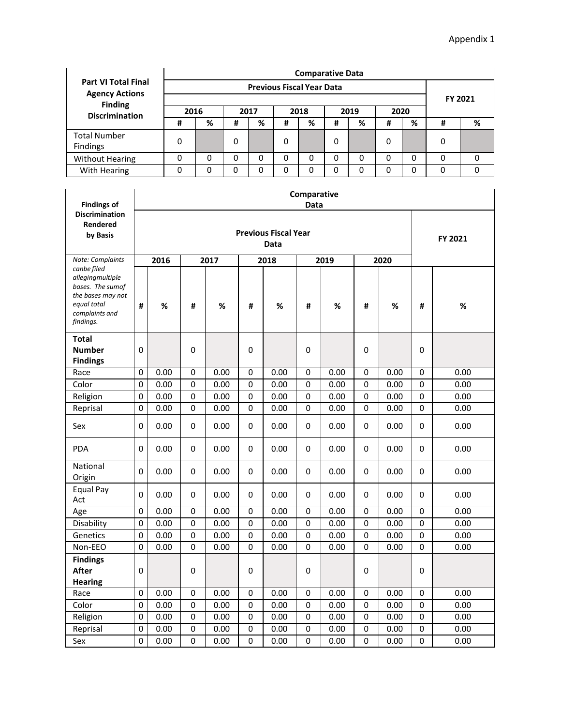|                                                     | <b>Comparative Data</b> |                                           |      |         |   |   |   |   |   |   |   |   |  |  |
|-----------------------------------------------------|-------------------------|-------------------------------------------|------|---------|---|---|---|---|---|---|---|---|--|--|
| <b>Part VI Total Final</b><br><b>Agency Actions</b> |                         |                                           |      |         |   |   |   |   |   |   |   |   |  |  |
| <b>Finding</b>                                      |                         |                                           |      | FY 2021 |   |   |   |   |   |   |   |   |  |  |
| <b>Discrimination</b>                               | 2016                    |                                           | 2020 |         |   |   |   |   |   |   |   |   |  |  |
|                                                     | #                       | %                                         | #    | %       | # | % | # | % | # | % | # | % |  |  |
| <b>Total Number</b><br><b>Findings</b>              | 0                       |                                           | 0    |         | 0 |   | 0 |   | 0 |   | 0 |   |  |  |
| <b>Without Hearing</b>                              | 0                       |                                           | 0    | 0       | 0 | 0 | 0 | 0 | 0 | 0 | 0 | 0 |  |  |
| With Hearing                                        | 0                       | 0<br>0<br>0<br>0<br>0<br>0<br>0<br>0<br>0 |      |         |   |   |   |   |   |   |   | 0 |  |  |

| <b>Findings of</b><br><b>Discrimination</b>                                                                            |          | Comparative<br>Data |             |      |             |                                     |             |      |             |      |             |         |  |  |  |
|------------------------------------------------------------------------------------------------------------------------|----------|---------------------|-------------|------|-------------|-------------------------------------|-------------|------|-------------|------|-------------|---------|--|--|--|
| <b>Rendered</b><br>by Basis                                                                                            |          |                     |             |      |             | <b>Previous Fiscal Year</b><br>Data |             |      |             |      |             | FY 2021 |  |  |  |
| Note: Complaints                                                                                                       |          | 2016                |             | 2017 |             | 2018                                |             | 2019 |             | 2020 |             |         |  |  |  |
| canbe filed<br>allegingmultiple<br>bases. The sumof<br>the bases may not<br>equal total<br>complaints and<br>findings. | #        | %                   | #           | $\%$ | #           | %                                   | #           | $\%$ | #           | $\%$ | #           | $\%$    |  |  |  |
| <b>Total</b>                                                                                                           |          |                     |             |      |             |                                     |             |      |             |      |             |         |  |  |  |
| <b>Number</b><br><b>Findings</b>                                                                                       | $\Omega$ |                     | 0           |      | 0           |                                     | 0           |      | 0           |      | 0           |         |  |  |  |
| Race                                                                                                                   | 0        | 0.00                | 0           | 0.00 | 0           | 0.00                                | 0           | 0.00 | 0           | 0.00 | 0           | 0.00    |  |  |  |
| Color                                                                                                                  | 0        | 0.00                | 0           | 0.00 | 0           | 0.00                                | 0           | 0.00 | 0           | 0.00 | 0           | 0.00    |  |  |  |
| Religion                                                                                                               | 0        | 0.00                | 0           | 0.00 | $\mathbf 0$ | 0.00                                | 0           | 0.00 | $\pmb{0}$   | 0.00 | $\pmb{0}$   | 0.00    |  |  |  |
| Reprisal                                                                                                               | 0        | 0.00                | 0           | 0.00 | 0           | 0.00                                | 0           | 0.00 | 0           | 0.00 | 0           | 0.00    |  |  |  |
| Sex                                                                                                                    | 0        | 0.00                | 0           | 0.00 | 0           | 0.00                                | 0           | 0.00 | 0           | 0.00 | 0           | 0.00    |  |  |  |
| <b>PDA</b>                                                                                                             | 0        | 0.00                | 0           | 0.00 | 0           | 0.00                                | 0           | 0.00 | 0           | 0.00 | 0           | 0.00    |  |  |  |
| National<br>Origin                                                                                                     | 0        | 0.00                | 0           | 0.00 | 0           | 0.00                                | 0           | 0.00 | 0           | 0.00 | 0           | 0.00    |  |  |  |
| Equal Pay<br>Act                                                                                                       | 0        | 0.00                | $\Omega$    | 0.00 | 0           | 0.00                                | 0           | 0.00 | $\Omega$    | 0.00 | 0           | 0.00    |  |  |  |
| Age                                                                                                                    | 0        | 0.00                | 0           | 0.00 | 0           | 0.00                                | 0           | 0.00 | 0           | 0.00 | 0           | 0.00    |  |  |  |
| Disability                                                                                                             | 0        | 0.00                | 0           | 0.00 | 0           | 0.00                                | 0           | 0.00 | 0           | 0.00 | 0           | 0.00    |  |  |  |
| Genetics                                                                                                               | 0        | 0.00                | $\mathbf 0$ | 0.00 | 0           | 0.00                                | 0           | 0.00 | 0           | 0.00 | 0           | 0.00    |  |  |  |
| Non-EEO                                                                                                                | $\Omega$ | 0.00                | 0           | 0.00 | $\mathbf 0$ | 0.00                                | $\mathbf 0$ | 0.00 | $\mathbf 0$ | 0.00 | $\mathbf 0$ | 0.00    |  |  |  |
| <b>Findings</b><br><b>After</b><br><b>Hearing</b>                                                                      | 0        |                     | $\pmb{0}$   |      | 0           |                                     | 0           |      | 0           |      | $\pmb{0}$   |         |  |  |  |
| Race                                                                                                                   | 0        | 0.00                | 0           | 0.00 | $\pmb{0}$   | 0.00                                | $\pmb{0}$   | 0.00 | $\mathbf 0$ | 0.00 | $\pmb{0}$   | 0.00    |  |  |  |
| Color                                                                                                                  | $\Omega$ | 0.00                | 0           | 0.00 | 0           | 0.00                                | 0           | 0.00 | 0           | 0.00 | 0           | 0.00    |  |  |  |
| Religion                                                                                                               | 0        | 0.00                | 0           | 0.00 | 0           | 0.00                                | 0           | 0.00 | 0           | 0.00 | 0           | 0.00    |  |  |  |
| Reprisal                                                                                                               | 0        | 0.00                | $\pmb{0}$   | 0.00 | 0           | 0.00                                | 0           | 0.00 | 0           | 0.00 | $\mathbf 0$ | 0.00    |  |  |  |
| Sex                                                                                                                    | 0        | 0.00                | 0           | 0.00 | 0           | 0.00                                | 0           | 0.00 | 0           | 0.00 | 0           | 0.00    |  |  |  |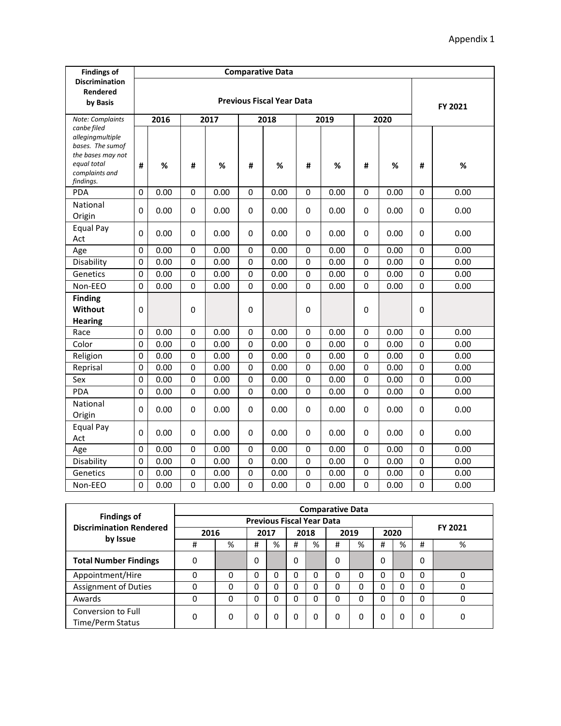| <b>Findings of</b>                                                                                      |             |      |             |      |             |                                  |                  |      |             |      |             |         |
|---------------------------------------------------------------------------------------------------------|-------------|------|-------------|------|-------------|----------------------------------|------------------|------|-------------|------|-------------|---------|
| <b>Discrimination</b><br>Rendered<br>by Basis                                                           |             |      |             |      |             | <b>Previous Fiscal Year Data</b> |                  |      |             |      |             | FY 2021 |
| Note: Complaints<br>canbe filed                                                                         |             | 2016 |             | 2017 |             | 2018                             |                  | 2019 |             | 2020 |             |         |
| allegingmultiple<br>bases. The sumof<br>the bases may not<br>equal total<br>complaints and<br>findings. | #           | %    | #           | %    | #           | %                                | #                | %    | #           | $\%$ | #           | %       |
| <b>PDA</b>                                                                                              | $\Omega$    | 0.00 | $\mathbf 0$ | 0.00 | $\mathbf 0$ | 0.00                             | $\mathbf 0$      | 0.00 | $\mathbf 0$ | 0.00 | 0           | 0.00    |
| National<br>Origin                                                                                      | $\Omega$    | 0.00 | $\mathbf 0$ | 0.00 | 0           | 0.00                             | $\mathbf 0$      | 0.00 | $\mathbf 0$ | 0.00 | 0           | 0.00    |
| Equal Pay<br>Act                                                                                        | $\mathbf 0$ | 0.00 | $\mathbf 0$ | 0.00 | 0           | 0.00                             | $\mathbf 0$      | 0.00 | 0           | 0.00 | 0           | 0.00    |
| Age                                                                                                     | $\mathbf 0$ | 0.00 | $\pmb{0}$   | 0.00 | $\pmb{0}$   | 0.00                             | $\boldsymbol{0}$ | 0.00 | $\pmb{0}$   | 0.00 | $\pmb{0}$   | 0.00    |
| Disability                                                                                              | 0           | 0.00 | $\pmb{0}$   | 0.00 | $\pmb{0}$   | 0.00                             | $\boldsymbol{0}$ | 0.00 | $\mathbf 0$ | 0.00 | $\mathbf 0$ | 0.00    |
| Genetics                                                                                                | $\Omega$    | 0.00 | $\mathbf 0$ | 0.00 | 0           | 0.00                             | $\mathbf 0$      | 0.00 | $\mathbf 0$ | 0.00 | $\mathbf 0$ | 0.00    |
| Non-EEO                                                                                                 | $\mathbf 0$ | 0.00 | $\mathbf 0$ | 0.00 | $\mathbf 0$ | 0.00                             | $\mathbf 0$      | 0.00 | 0           | 0.00 | $\mathbf 0$ | 0.00    |
| <b>Finding</b><br>Without<br><b>Hearing</b>                                                             | $\Omega$    |      | $\mathbf 0$ |      | $\mathbf 0$ |                                  | $\mathbf 0$      |      | $\mathbf 0$ |      | $\mathbf 0$ |         |
| Race                                                                                                    | 0           | 0.00 | $\pmb{0}$   | 0.00 | $\pmb{0}$   | 0.00                             | $\mathbf 0$      | 0.00 | $\mathbf 0$ | 0.00 | $\pmb{0}$   | 0.00    |
| Color                                                                                                   | 0           | 0.00 | $\mathbf 0$ | 0.00 | 0           | 0.00                             | $\mathbf 0$      | 0.00 | $\mathbf 0$ | 0.00 | $\mathbf 0$ | 0.00    |
| Religion                                                                                                | $\mathbf 0$ | 0.00 | $\pmb{0}$   | 0.00 | $\pmb{0}$   | 0.00                             | $\mathbf 0$      | 0.00 | $\pmb{0}$   | 0.00 | $\pmb{0}$   | 0.00    |
| Reprisal                                                                                                | $\mathbf 0$ | 0.00 | $\pmb{0}$   | 0.00 | $\pmb{0}$   | 0.00                             | $\mathbf 0$      | 0.00 | $\pmb{0}$   | 0.00 | $\pmb{0}$   | 0.00    |
| Sex                                                                                                     | $\mathbf 0$ | 0.00 | 0           | 0.00 | 0           | 0.00                             | 0                | 0.00 | $\mathbf 0$ | 0.00 | $\mathbf 0$ | 0.00    |
| <b>PDA</b>                                                                                              | 0           | 0.00 | $\pmb{0}$   | 0.00 | $\pmb{0}$   | 0.00                             | $\mathbf 0$      | 0.00 | $\mathbf 0$ | 0.00 | $\pmb{0}$   | 0.00    |
| National<br>Origin                                                                                      | $\mathbf 0$ | 0.00 | $\pmb{0}$   | 0.00 | $\pmb{0}$   | 0.00                             | $\mathbf 0$      | 0.00 | $\pmb{0}$   | 0.00 | $\pmb{0}$   | 0.00    |
| Equal Pay<br>Act                                                                                        | $\Omega$    | 0.00 | $\pmb{0}$   | 0.00 | $\pmb{0}$   | 0.00                             | $\pmb{0}$        | 0.00 | 0           | 0.00 | 0           | 0.00    |
| Age                                                                                                     | $\mathbf 0$ | 0.00 | $\mathbf 0$ | 0.00 | 0           | 0.00                             | $\mathbf 0$      | 0.00 | 0           | 0.00 | $\pmb{0}$   | 0.00    |
| Disability                                                                                              | 0           | 0.00 | 0           | 0.00 | 0           | 0.00                             | 0                | 0.00 | 0           | 0.00 | $\mathbf 0$ | 0.00    |
| Genetics                                                                                                | $\mathbf 0$ | 0.00 | $\pmb{0}$   | 0.00 | $\pmb{0}$   | 0.00                             | $\mathbf 0$      | 0.00 | $\pmb{0}$   | 0.00 | $\pmb{0}$   | 0.00    |
| Non-EEO                                                                                                 | $\mathbf 0$ | 0.00 | $\mathbf 0$ | 0.00 | $\mathbf 0$ | 0.00                             | $\mathbf 0$      | 0.00 | $\mathbf 0$ | 0.00 | 0           | 0.00    |

|                                                      |      | <b>Comparative Data</b> |   |      |   |                                  |   |      |   |      |          |         |  |  |
|------------------------------------------------------|------|-------------------------|---|------|---|----------------------------------|---|------|---|------|----------|---------|--|--|
| <b>Findings of</b><br><b>Discrimination Rendered</b> |      |                         |   |      |   | <b>Previous Fiscal Year Data</b> |   |      |   |      |          | FY 2021 |  |  |
| by Issue                                             | 2016 |                         |   | 2017 |   | 2018                             |   | 2019 |   | 2020 |          |         |  |  |
|                                                      | #    | %                       | # | %    | # | %                                | # | %    | # | %    | #        | %       |  |  |
| <b>Total Number Findings</b>                         | 0    |                         | 0 |      | 0 |                                  | 0 |      | 0 |      | 0        |         |  |  |
| Appointment/Hire                                     | 0    | 0                       | 0 | 0    | 0 | 0                                | 0 | 0    | 0 | 0    | 0        | 0       |  |  |
| <b>Assignment of Duties</b>                          | 0    | 0                       | 0 |      | 0 | 0                                | 0 | 0    | 0 |      | $\Omega$ | 0       |  |  |
| Awards                                               | 0    | 0                       | 0 | 0    | 0 | 0                                | 0 | 0    | 0 |      | 0        | 0       |  |  |
| Conversion to Full<br>Time/Perm Status               | 0    | 0                       | 0 | 0    | 0 | 0                                | 0 | 0    | 0 | 0    | 0        | 0       |  |  |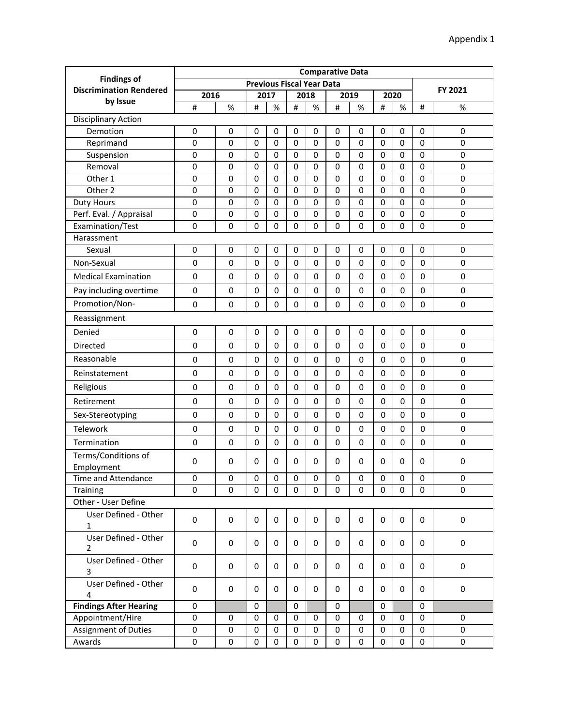|                                                      | <b>Comparative Data</b>  |                            |             |             |                |                                  |                  |             |             |             |                |                          |
|------------------------------------------------------|--------------------------|----------------------------|-------------|-------------|----------------|----------------------------------|------------------|-------------|-------------|-------------|----------------|--------------------------|
| <b>Findings of</b><br><b>Discrimination Rendered</b> |                          |                            |             |             |                | <b>Previous Fiscal Year Data</b> |                  |             |             |             |                | FY 2021                  |
| by Issue                                             | 2016                     |                            |             | 2017        |                | 2018                             |                  | 2019        |             | 2020        |                |                          |
|                                                      | $\sharp$                 | %                          | #           | %           | #              | $\%$                             | $\#$             | %           | #           | %           | #              | %                        |
| <b>Disciplinary Action</b>                           |                          |                            |             |             |                |                                  |                  |             |             |             |                |                          |
| Demotion                                             | $\pmb{0}$                | 0                          | 0           | 0           | 0              | 0                                | 0                | 0           | 0           | 0           | 0              | $\mathbf 0$              |
| Reprimand                                            | $\pmb{0}$                | $\mathbf 0$                | $\mathbf 0$ | 0           | $\pmb{0}$      | $\mathbf 0$                      | $\mathbf 0$      | 0           | 0           | $\mathbf 0$ | 0              | 0                        |
| Suspension                                           | $\pmb{0}$                | $\mathbf 0$                | 0           | 0           | 0              | $\mathbf 0$                      | $\mathbf 0$      | 0           | 0           | $\mathbf 0$ | 0              | $\mathbf 0$              |
| Removal                                              | $\pmb{0}$                | $\pmb{0}$                  | 0           | 0           | 0              | $\mathbf 0$                      | $\mathbf 0$      | $\pmb{0}$   | 0           | 0           | $\pmb{0}$      | $\mathbf 0$              |
| Other 1                                              | $\pmb{0}$                | $\mathbf 0$                | 0           | 0           | $\pmb{0}$      | $\mathbf 0$                      | $\mathbf 0$      | 0           | 0           | $\mathbf 0$ | $\mathbf 0$    | $\mathbf 0$              |
| Other 2                                              | $\pmb{0}$                | $\mathbf 0$                | 0           | 0           | $\mathbf 0$    | $\mathbf 0$                      | 0                | 0           | 0           | $\mathbf 0$ | $\mathbf 0$    | $\mathbf 0$              |
| <b>Duty Hours</b>                                    | 0                        | $\mathbf 0$                | 0           | 0           | $\mathbf 0$    | $\mathbf 0$                      | $\mathbf 0$      | 0           | 0           | $\mathbf 0$ | $\mathbf 0$    | $\mathbf 0$              |
| Perf. Eval. / Appraisal                              | $\pmb{0}$<br>$\mathbf 0$ | $\mathbf 0$<br>$\mathbf 0$ | 0<br>0      | 0<br>0      | $\pmb{0}$<br>0 | $\mathbf 0$<br>$\mathbf 0$       | $\mathbf 0$<br>0 | 0           | 0<br>0      | 0           | $\pmb{0}$<br>0 | $\pmb{0}$<br>$\mathbf 0$ |
| Examination/Test<br>Harassment                       |                          |                            |             |             |                |                                  |                  | 0           |             | 0           |                |                          |
| Sexual                                               | $\pmb{0}$                | $\mathbf 0$                | $\mathbf 0$ | 0           | 0              | $\mathbf 0$                      | 0                | 0           | 0           | $\mathbf 0$ | 0              | $\mathbf 0$              |
|                                                      |                          |                            |             |             |                |                                  |                  |             |             |             |                |                          |
| Non-Sexual                                           | 0                        | $\mathbf 0$                | 0           | 0           | 0              | $\mathbf 0$                      | $\mathbf 0$      | $\mathbf 0$ | 0           | 0           | $\mathbf 0$    | $\pmb{0}$                |
| <b>Medical Examination</b>                           | $\pmb{0}$                | $\mathbf 0$                | 0           | 0           | 0              | $\mathbf 0$                      | $\mathbf 0$      | 0           | 0           | 0           | 0              | $\pmb{0}$                |
| Pay including overtime                               | $\pmb{0}$                | $\pmb{0}$                  | 0           | 0           | 0              | $\mathbf 0$                      | $\mathbf 0$      | 0           | 0           | 0           | 0              | $\pmb{0}$                |
| Promotion/Non-                                       | $\pmb{0}$                | $\pmb{0}$                  | 0           | 0           | 0              | $\mathbf 0$                      | $\mathbf 0$      | 0           | 0           | 0           | 0              | $\pmb{0}$                |
| Reassignment                                         |                          |                            |             |             |                |                                  |                  |             |             |             |                |                          |
| Denied                                               | $\pmb{0}$                | $\pmb{0}$                  | 0           | $\pmb{0}$   | $\pmb{0}$      | $\pmb{0}$                        | $\pmb{0}$        | $\pmb{0}$   | $\pmb{0}$   | $\pmb{0}$   | 0              | $\pmb{0}$                |
| Directed                                             | 0                        | $\mathbf 0$                | $\Omega$    | 0           | $\Omega$       | $\mathbf 0$                      | $\mathbf 0$      | $\mathbf 0$ | $\Omega$    | 0           | $\Omega$       | $\mathbf 0$              |
| Reasonable                                           | 0                        | $\mathbf 0$                | 0           | 0           | $\mathbf 0$    | $\mathbf 0$                      | $\mathbf 0$      | $\mathbf 0$ | 0           | 0           | $\mathbf 0$    | $\pmb{0}$                |
| Reinstatement                                        | $\pmb{0}$                | $\mathbf 0$                | 0           | 0           | $\mathbf 0$    | $\mathbf 0$                      | $\mathbf 0$      | 0           | 0           | 0           | $\mathbf 0$    | $\mathsf 0$              |
| Religious                                            | $\pmb{0}$                | $\mathbf 0$                | 0           | 0           | 0              | $\mathbf 0$                      | $\mathbf 0$      | 0           | 0           | 0           | $\mathbf 0$    | 0                        |
| Retirement                                           | 0                        | $\mathbf 0$                | 0           | 0           | 0              | 0                                | $\mathbf 0$      | $\mathbf 0$ | 0           | 0           | 0              | 0                        |
| Sex-Stereotyping                                     | 0                        | $\mathbf 0$                | 0           | 0           | 0              | $\mathbf 0$                      | $\mathbf 0$      | 0           | 0           | 0           | 0              | 0                        |
| Telework                                             | 0                        | $\mathbf 0$                | 0           | 0           | 0              | $\mathbf 0$                      | $\mathbf 0$      | $\mathbf 0$ | 0           | 0           | 0              | $\pmb{0}$                |
| Termination                                          | $\mathbf 0$              | $\mathbf 0$                | 0           | 0           | 0              | $\mathbf 0$                      | $\mathbf 0$      | 0           | 0           | 0           | 0              | 0                        |
| Terms/Conditions of                                  | 0                        | 0                          | 0           | 0           | 0              | 0                                | 0                | 0           | 0           | 0           | 0              | $\mathbf 0$              |
| Employment<br>Time and Attendance                    | $\pmb{0}$                | $\mathbf 0$                | $\mathbf 0$ | $\mathsf 0$ | $\pmb{0}$      | $\mathsf 0$                      | $\mathbf 0$      | $\pmb{0}$   | $\mathbf 0$ | $\pmb{0}$   | $\pmb{0}$      | 0                        |
| Training                                             | 0                        | 0                          | 0           | 0           | 0              | 0                                | 0                | 0           | 0           | 0           | 0              | 0                        |
| Other - User Define                                  |                          |                            |             |             |                |                                  |                  |             |             |             |                |                          |
| User Defined - Other                                 |                          |                            |             |             |                |                                  |                  |             |             |             |                |                          |
| $\mathbf{1}$                                         | $\pmb{0}$                | 0                          | 0           | 0           | 0              | 0                                | 0                | 0           | 0           | $\mathbf 0$ | 0              | $\mathbf 0$              |
| User Defined - Other                                 | $\pmb{0}$                | 0                          | 0           | 0           | 0              | 0                                | 0                | 0           | 0           | 0           | 0              | $\mathbf 0$              |
| 2<br>User Defined - Other                            |                          |                            |             |             |                |                                  |                  |             |             |             |                |                          |
| 3                                                    | 0                        | 0                          | 0           | 0           | 0              | $\mathbf 0$                      | 0                | 0           | 0           | 0           | 0              | 0                        |
| User Defined - Other<br>4                            | 0                        | 0                          | 0           | 0           | 0              | 0                                | 0                | 0           | 0           | $\mathbf 0$ | 0              | $\mathbf 0$              |
| <b>Findings After Hearing</b>                        | 0                        |                            | 0           |             | 0              |                                  | 0                |             | 0           |             | 0              |                          |
| Appointment/Hire                                     | 0                        | 0                          | 0           | 0           | 0              | $\mathbf 0$                      | 0                | 0           | 0           | 0           | 0              | 0                        |
| Assignment of Duties                                 | 0                        | 0                          | 0           | 0           | 0              | 0                                | $\pmb{0}$        | 0           | 0           | 0           | 0              | 0                        |
| Awards                                               | $\pmb{0}$                | $\pmb{0}$                  | $\pmb{0}$   | $\pmb{0}$   | $\pmb{0}$      | $\pmb{0}$                        | $\pmb{0}$        | 0           | $\pmb{0}$   | $\pmb{0}$   | $\pmb{0}$      | 0                        |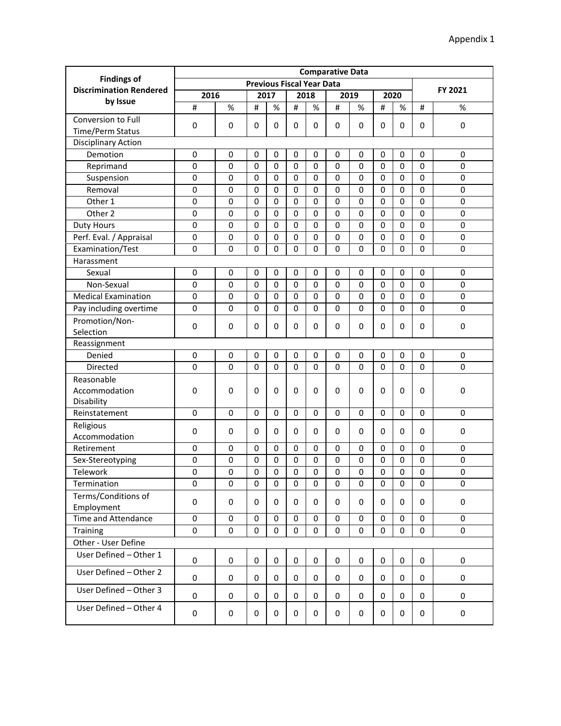|                                                      | <b>Comparative Data</b>          |             |              |             |           |             |             |             |             |              |             |             |
|------------------------------------------------------|----------------------------------|-------------|--------------|-------------|-----------|-------------|-------------|-------------|-------------|--------------|-------------|-------------|
| <b>Findings of</b><br><b>Discrimination Rendered</b> | <b>Previous Fiscal Year Data</b> |             |              |             |           |             |             |             |             |              |             | FY 2021     |
| by Issue                                             | 2016                             |             |              | 2017        |           | 2018        |             | 2019        |             | 2020         |             |             |
|                                                      | #                                | $\%$        | #            | $\%$        | $\sharp$  | $\%$        | $\#$        | $\%$        | #           | %            | #           | $\%$        |
| Conversion to Full                                   | 0                                | 0           | 0            | 0           | 0         | $\mathbf 0$ | 0           | 0           | 0           | $\mathbf 0$  | 0           | $\pmb{0}$   |
| <b>Time/Perm Status</b>                              |                                  |             |              |             |           |             |             |             |             |              |             |             |
| <b>Disciplinary Action</b>                           |                                  |             |              |             |           |             |             |             |             |              |             |             |
| Demotion                                             | 0                                | 0           | 0            | 0           | 0         | 0           | 0           | 0           | 0           | 0            | 0           | 0           |
| Reprimand                                            | 0                                | $\mathbf 0$ | 0            | $\mathbf 0$ | 0         | $\mathbf 0$ | 0           | 0           | 0           | $\mathbf{0}$ | 0           | $\mathbf 0$ |
| Suspension                                           | 0                                | 0           | 0            | $\mathbf 0$ | 0         | $\mathbf 0$ | 0           | 0           | 0           | $\mathbf 0$  | 0           | 0           |
| Removal                                              | 0                                | 0           | 0            | 0           | 0         | $\mathbf 0$ | 0           | 0           | 0           | $\mathbf 0$  | $\mathbf 0$ | $\mathbf 0$ |
| Other 1                                              | 0                                | 0           | 0            | 0           | 0         | $\mathbf 0$ | 0           | 0           | 0           | $\mathbf 0$  | 0           | $\mathbf 0$ |
| Other 2                                              | 0                                | 0           | $\mathbf 0$  | 0           | 0         | $\mathbf 0$ | 0           | 0           | 0           | $\mathbf 0$  | 0           | 0           |
| Duty Hours                                           | $\pmb{0}$                        | $\mathbf 0$ | $\Omega$     | $\Omega$    | $\Omega$  | $\mathbf 0$ | 0           | 0           | 0           | $\Omega$     | $\Omega$    | $\mathbf 0$ |
| Perf. Eval. / Appraisal                              | 0                                | 0           | 0            | 0           | 0         | $\mathbf 0$ | 0           | 0           | 0           | $\mathbf 0$  | 0           | $\pmb{0}$   |
| Examination/Test                                     | 0                                | $\mathbf 0$ | 0            | 0           | 0         | $\mathbf 0$ | 0           | 0           | 0           | $\mathbf 0$  | 0           | $\mathbf 0$ |
| Harassment                                           |                                  |             |              |             |           |             |             |             |             |              |             |             |
| Sexual                                               | 0                                | 0           | $\mathbf 0$  | $\mathbf 0$ | 0         | $\mathbf 0$ | 0           | 0           | 0           | $\mathbf 0$  | 0           | $\mathbf 0$ |
| Non-Sexual                                           | 0                                | $\mathbf 0$ | $\mathbf 0$  | $\pmb{0}$   | $\pmb{0}$ | $\mathbf 0$ | 0           | 0           | $\mathbf 0$ | $\mathbf 0$  | 0           | $\mathbf 0$ |
| <b>Medical Examination</b>                           | 0                                | 0           | 0            | 0           | 0         | $\mathbf 0$ | 0           | 0           | 0           | $\mathbf 0$  | 0           | $\mathbf 0$ |
| Pay including overtime                               | 0                                | $\mathbf 0$ | $\mathbf 0$  | 0           | 0         | $\mathbf 0$ | 0           | 0           | 0           | 0            | 0           | 0           |
| Promotion/Non-                                       | 0                                | 0           | 0            | 0           | 0         | 0           | 0           | 0           | 0           | 0            | 0           | $\pmb{0}$   |
| Selection                                            |                                  |             |              |             |           |             |             |             |             |              |             |             |
| Reassignment                                         |                                  |             |              |             |           |             |             |             |             |              |             |             |
| Denied                                               | 0                                | 0           | $\mathbf 0$  | $\mathbf 0$ | $\pmb{0}$ | 0           | 0           | 0           | 0           | $\mathbf 0$  | 0           | 0           |
| Directed                                             | $\Omega$                         | 0           | $\mathbf{0}$ | $\Omega$    | $\Omega$  | $\Omega$    | 0           | 0           | 0           | $\mathbf{0}$ | $\mathbf 0$ | $\mathbf 0$ |
| Reasonable                                           |                                  |             |              |             |           |             |             |             |             |              |             |             |
| Accommodation                                        | 0                                | 0           | 0            | 0           | 0         | 0           | 0           | 0           | 0           | 0            | 0           | 0           |
| Disability                                           |                                  |             |              |             |           |             |             |             |             |              |             |             |
| Reinstatement                                        | 0                                | 0           | 0            | 0           | 0         | $\mathbf 0$ | 0           | 0           | 0           | $\mathbf 0$  | 0           | $\mathbf 0$ |
| Religious                                            | $\mathbf 0$                      | 0           | 0            | 0           | 0         | 0           | 0           | 0           | 0           | 0            | 0           | 0           |
| Accommodation                                        |                                  |             |              |             |           |             |             |             |             |              |             |             |
| Retirement                                           | $\pmb{0}$                        | $\mathbf 0$ | 0            | 0           | 0         | $\mathbf 0$ | 0           | $\mathbf 0$ | 0           | 0            | 0           | $\mathbf 0$ |
| Sex-Stereotyping                                     | 0                                | 0           | 0            | $\mathbf 0$ | 0         | 0           | 0           | 0           | 0           | $\mathbf 0$  | 0           | $\mathbf 0$ |
| Telework                                             | 0                                | 0           | 0            | 0           | 0         | 0           | 0           | 0           | 0           | 0            | $\pmb{0}$   | $\mathbf 0$ |
| Termination                                          | 0                                | 0           | 0            | 0           | 0         | 0           | 0           | 0           | 0           | 0            | 0           | 0           |
| Terms/Conditions of                                  | 0                                | 0           | 0            | 0           | 0         | 0           | 0           | 0           | 0           | 0            | 0           | 0           |
| Employment                                           |                                  |             |              |             |           |             |             |             |             |              |             |             |
| Time and Attendance                                  | 0                                | 0           | 0            | 0           | 0         | 0           | 0           | 0           | 0           | 0            | 0           | 0           |
| Training                                             | 0                                | $\Omega$    | 0            | 0           | $\Omega$  | 0           | $\Omega$    | $\Omega$    | 0           | 0            | $\Omega$    | $\Omega$    |
| Other - User Define                                  |                                  |             |              |             |           |             |             |             |             |              |             |             |
| User Defined - Other 1                               | $\pmb{0}$                        | $\pmb{0}$   | 0            | 0           | 0         | 0           | $\mathbf 0$ | 0           | 0           | 0            | 0           | 0           |
| User Defined - Other 2                               |                                  |             |              |             |           |             |             |             |             |              |             |             |
|                                                      | 0                                | 0           | 0            | 0           | 0         | 0           | 0           | 0           | 0           | 0            | 0           | 0           |
| User Defined - Other 3                               | 0                                | 0           | 0            | 0           | 0         | 0           | 0           | 0           | 0           | 0            | 0           | 0           |
| User Defined - Other 4                               | 0                                | 0           | 0            | 0           | 0         | 0           | 0           | 0           | 0           | 0            | 0           | 0           |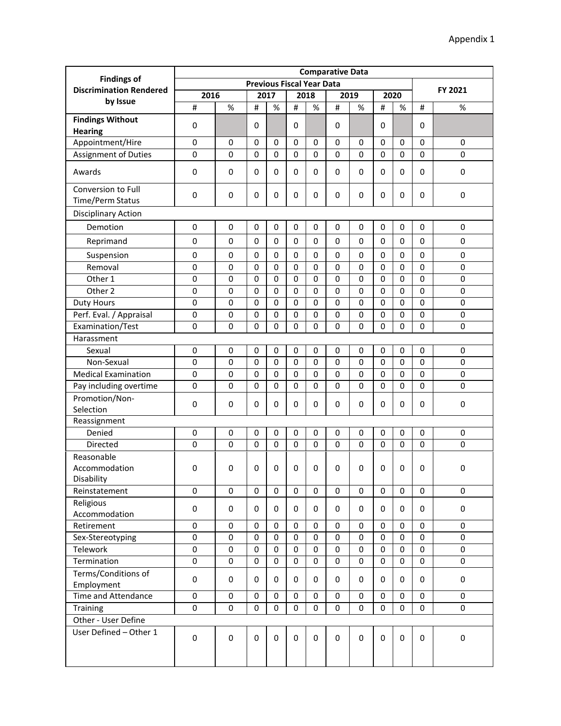|                                                      | <b>Comparative Data</b> |             |             |          |             |                                  |             |             |             |             |             |             |
|------------------------------------------------------|-------------------------|-------------|-------------|----------|-------------|----------------------------------|-------------|-------------|-------------|-------------|-------------|-------------|
| <b>Findings of</b><br><b>Discrimination Rendered</b> |                         |             |             |          |             | <b>Previous Fiscal Year Data</b> |             |             |             |             |             |             |
|                                                      | 2016                    |             |             | 2017     |             | 2018                             |             | 2019        |             | 2020        |             | FY 2021     |
| by Issue                                             | $\#$                    | $\%$        | #           | %        | #           | $\%$                             | #           | %           | #           | $\%$        | #           | $\%$        |
| <b>Findings Without</b><br><b>Hearing</b>            | 0                       |             | $\mathbf 0$ |          | $\mathbf 0$ |                                  | $\mathbf 0$ |             | 0           |             | 0           |             |
| Appointment/Hire                                     | 0                       | 0           | $\mathbf 0$ | 0        | $\mathbf 0$ | 0                                | $\mathbf 0$ | 0           | 0           | $\mathbf 0$ | $\mathbf 0$ | $\mathbf 0$ |
| Assignment of Duties                                 | $\pmb{0}$               | $\Omega$    | $\mathbf 0$ | 0        | $\mathbf 0$ | 0                                | $\Omega$    | 0           | 0           | 0           | $\mathbf 0$ | $\mathbf 0$ |
| Awards                                               | 0                       | 0           | 0           | 0        | $\mathbf 0$ | 0                                | 0           | 0           | 0           | 0           | 0           | $\mathbf 0$ |
| Conversion to Full<br>Time/Perm Status               | 0                       | 0           | 0           | 0        | $\mathbf 0$ | 0                                | $\mathbf 0$ | 0           | 0           | 0           | 0           | 0           |
| <b>Disciplinary Action</b>                           |                         |             |             |          |             |                                  |             |             |             |             |             |             |
| Demotion                                             | 0                       | 0           | 0           | 0        | $\mathbf 0$ | 0                                | $\mathbf 0$ | 0           | 0           | 0           | 0           | 0           |
|                                                      | 0                       | 0           | 0           | 0        | $\mathbf 0$ | 0                                | $\Omega$    | 0           | 0           | $\mathbf 0$ | $\mathbf 0$ | $\mathbf 0$ |
| Reprimand                                            |                         |             |             |          |             |                                  |             |             |             |             |             |             |
| Suspension                                           | 0                       | 0           | 0           | 0        | 0           | 0                                | $\mathbf 0$ | 0           | 0           | 0           | 0           | 0           |
| Removal                                              | $\pmb{0}$               | $\mathbf 0$ | $\mathbf 0$ | 0        | $\mathbf 0$ | 0                                | $\mathbf 0$ | 0           | 0           | $\mathbf 0$ | $\mathbf 0$ | $\mathbf 0$ |
| Other 1                                              | 0                       | 0           | 0           | 0        | $\mathbf 0$ | 0                                | $\mathbf 0$ | 0           | 0           | $\mathbf 0$ | $\mathbf 0$ | $\mathbf 0$ |
| Other 2                                              | $\pmb{0}$               | $\mathbf 0$ | 0           | 0        | 0           | 0                                | $\mathbf 0$ | 0           | 0           | $\mathbf 0$ | $\mathbf 0$ | $\mathbf 0$ |
| <b>Duty Hours</b>                                    | $\pmb{0}$               | 0           | 0           | 0        | $\mathbf 0$ | 0                                | $\Omega$    | 0           | 0           | 0           | $\mathbf 0$ | $\mathbf 0$ |
| Perf. Eval. / Appraisal                              | $\pmb{0}$               | 0           | 0           | 0        | $\mathbf 0$ | 0                                | $\mathbf 0$ | 0           | 0           | $\mathbf 0$ | $\mathbf 0$ | 0           |
| Examination/Test                                     | $\pmb{0}$               | 0           | 0           | 0        | $\mathbf 0$ | 0                                | 0           | 0           | 0           | $\mathbf 0$ | $\mathbf 0$ | $\mathbf 0$ |
| Harassment                                           |                         |             |             |          |             |                                  |             |             |             |             |             |             |
| Sexual                                               | 0                       | 0           | 0           | 0        | $\mathbf 0$ | 0                                | $\mathbf 0$ | 0           | 0           | $\mathbf 0$ | $\mathbf 0$ | $\mathbf 0$ |
| Non-Sexual                                           | 0                       | 0           | 0           | 0        | $\mathbf 0$ | 0                                | $\mathbf 0$ | 0           | 0           | 0           | $\mathbf 0$ | $\mathbf 0$ |
| <b>Medical Examination</b>                           | $\pmb{0}$               | 0           | 0           | 0        | $\mathbf 0$ | 0                                | $\mathbf 0$ | 0           | 0           | $\mathbf 0$ | $\mathbf 0$ | $\mathbf 0$ |
| Pay including overtime                               | 0                       | 0           | 0           | 0        | $\mathbf 0$ | 0                                | $\mathbf 0$ | 0           | 0           | $\mathbf 0$ | 0           | 0           |
| Promotion/Non-<br>Selection                          | 0                       | 0           | 0           | 0        | $\mathbf 0$ | 0                                | $\mathbf 0$ | 0           | 0           | 0           | 0           | 0           |
| Reassignment                                         |                         |             |             |          |             |                                  |             |             |             |             |             |             |
| Denied                                               | 0                       | 0           | 0           | 0        | 0           | 0                                | 0           | 0           | 0           | 0           | 0           | 0           |
| Directed                                             | 0                       | 0           | 0           | $\Omega$ | $\mathbf 0$ | 0                                | $\Omega$    | 0           | 0           | $\mathbf 0$ | $\mathbf 0$ | $\mathbf 0$ |
| Reasonable<br>Accommodation<br>Disability            | 0                       | 0           | 0           | 0        | $\mathbf 0$ | 0                                | $\mathbf 0$ | 0           | 0           | 0           | 0           | 0           |
| Reinstatement                                        | 0                       | $\mathbf 0$ | 0           | 0        | 0           | 0                                | 0           | 0           | 0           | $\mathbf 0$ | 0           | 0           |
| Religious<br>Accommodation                           | $\pmb{0}$               | $\pmb{0}$   | 0           | 0        | 0           | 0                                | 0           | 0           | 0           | 0           | 0           | 0           |
| Retirement                                           | 0                       | $\pmb{0}$   | 0           | 0        | $\mathbf 0$ | 0                                | 0           | $\pmb{0}$   | 0           | 0           | $\mathbf 0$ | 0           |
| Sex-Stereotyping                                     | 0                       | $\mathbf 0$ | 0           | 0        | $\mathbf 0$ | 0                                | $\mathbf 0$ | $\mathbf 0$ | 0           | 0           | $\mathbf 0$ | 0           |
| Telework                                             | 0                       | $\mathbf 0$ | 0           | 0        | $\mathbf 0$ | 0                                | $\mathbf 0$ | 0           | $\mathbf 0$ | 0           | $\mathbf 0$ | $\pmb{0}$   |
| Termination                                          | 0                       | 0           | 0           | 0        | $\mathbf 0$ | 0                                | $\mathbf 0$ | 0           | 0           | 0           | $\mathbf 0$ | 0           |
| Terms/Conditions of<br>Employment                    | 0                       | 0           | 0           | 0        | 0           | 0                                | 0           | 0           | 0           | 0           | 0           | 0           |
| Time and Attendance                                  | $\pmb{0}$               | $\pmb{0}$   | 0           | 0        | $\pmb{0}$   | 0                                | 0           | $\pmb{0}$   | 0           | 0           | $\pmb{0}$   | 0           |
| Training                                             | 0                       | $\mathbf 0$ | 0           | 0        | $\mathbf 0$ | 0                                | $\Omega$    | 0           | 0           | 0           | $\mathbf 0$ | 0           |
| Other - User Define                                  |                         |             |             |          |             |                                  |             |             |             |             |             |             |
| User Defined - Other 1                               | 0                       | 0           | 0           | 0        | $\mathbf 0$ | 0                                | 0           | 0           | 0           | 0           | $\mathbf 0$ | $\mathsf 0$ |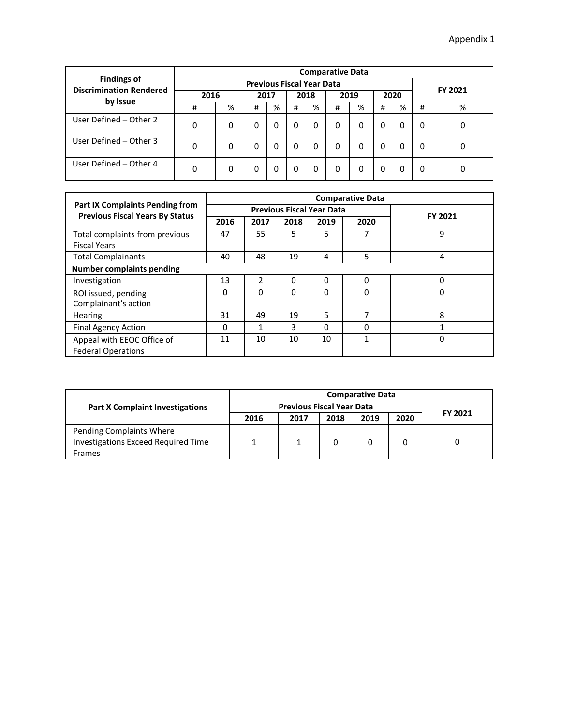|                                                      |                                      | <b>Comparative Data</b> |   |   |   |   |   |         |   |   |   |   |  |  |  |
|------------------------------------------------------|--------------------------------------|-------------------------|---|---|---|---|---|---------|---|---|---|---|--|--|--|
| <b>Findings of</b><br><b>Discrimination Rendered</b> | <b>Previous Fiscal Year Data</b>     |                         |   |   |   |   |   |         |   |   |   |   |  |  |  |
|                                                      | 2016<br>2019<br>2020<br>2018<br>2017 |                         |   |   |   |   |   | FY 2021 |   |   |   |   |  |  |  |
| by Issue                                             | #                                    | %                       | # | % | # | % | # | %       | # | % | # | % |  |  |  |
| User Defined - Other 2                               | 0                                    | 0                       | 0 | 0 | 0 | 0 | 0 | 0       | 0 | 0 | 0 | 0 |  |  |  |
| User Defined - Other 3                               | 0                                    | 0                       | 0 | 0 | 0 | 0 | 0 | 0       | 0 | 0 | 0 | 0 |  |  |  |
| User Defined - Other 4                               | 0                                    | 0                       | 0 | 0 | 0 | 0 | 0 | 0       | 0 | 0 | 0 |   |  |  |  |

|                                        |      | <b>Comparative Data</b> |                                  |          |          |         |  |  |  |  |  |  |
|----------------------------------------|------|-------------------------|----------------------------------|----------|----------|---------|--|--|--|--|--|--|
| <b>Part IX Complaints Pending from</b> |      |                         | <b>Previous Fiscal Year Data</b> |          |          |         |  |  |  |  |  |  |
| <b>Previous Fiscal Years By Status</b> | 2016 | 2017                    | 2018                             | 2019     | 2020     | FY 2021 |  |  |  |  |  |  |
| Total complaints from previous         | 47   | 55                      | 5                                | 5        | 7        | 9       |  |  |  |  |  |  |
| <b>Fiscal Years</b>                    |      |                         |                                  |          |          |         |  |  |  |  |  |  |
| <b>Total Complainants</b>              | 40   | 48                      | 19                               | 4        | 5        | 4       |  |  |  |  |  |  |
| <b>Number complaints pending</b>       |      |                         |                                  |          |          |         |  |  |  |  |  |  |
| Investigation                          | 13   | 2                       | $\Omega$                         | 0        | $\Omega$ | 0       |  |  |  |  |  |  |
| ROI issued, pending                    | 0    | 0                       | $\Omega$                         | 0        | 0        | 0       |  |  |  |  |  |  |
| Complainant's action                   |      |                         |                                  |          |          |         |  |  |  |  |  |  |
| Hearing                                | 31   | 49                      | 19                               | 5        | 7        | 8       |  |  |  |  |  |  |
| <b>Final Agency Action</b>             | 0    | 1                       | 3                                | $\Omega$ | 0        | 1       |  |  |  |  |  |  |
| Appeal with EEOC Office of             | 11   | 10                      | 10                               | 10       | 1        | 0       |  |  |  |  |  |  |
| <b>Federal Operations</b>              |      |                         |                                  |          |          |         |  |  |  |  |  |  |

|                                            |      | <b>Comparative Data</b>          |      |      |      |         |  |  |  |  |  |
|--------------------------------------------|------|----------------------------------|------|------|------|---------|--|--|--|--|--|
| <b>Part X Complaint Investigations</b>     |      | <b>Previous Fiscal Year Data</b> |      |      |      |         |  |  |  |  |  |
|                                            | 2016 | 2017                             | 2018 | 2019 | 2020 | FY 2021 |  |  |  |  |  |
| Pending Complaints Where                   |      |                                  |      |      |      |         |  |  |  |  |  |
| <b>Investigations Exceed Required Time</b> |      |                                  |      |      |      |         |  |  |  |  |  |
| Frames                                     |      |                                  |      |      |      |         |  |  |  |  |  |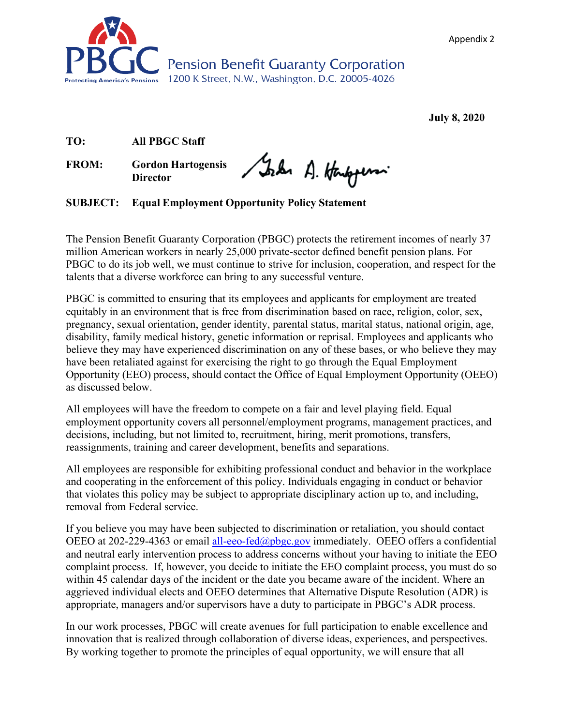



**July 8, 2020** 

**TO: All PBGC Staff**

**FROM: Gordon Hartogensis Director**

Sola A. Hampson

**SUBJECT: Equal Employment Opportunity Policy Statement**

The Pension Benefit Guaranty Corporation (PBGC) protects the retirement incomes of nearly 37 million American workers in nearly 25,000 private-sector defined benefit pension plans. For PBGC to do its job well, we must continue to strive for inclusion, cooperation, and respect for the talents that a diverse workforce can bring to any successful venture.

PBGC is committed to ensuring that its employees and applicants for employment are treated equitably in an environment that is free from discrimination based on race, religion, color, sex, pregnancy, sexual orientation, gender identity, parental status, marital status, national origin, age, disability, family medical history, genetic information or reprisal. Employees and applicants who believe they may have experienced discrimination on any of these bases, or who believe they may have been retaliated against for exercising the right to go through the Equal Employment Opportunity (EEO) process, should contact the Office of Equal Employment Opportunity (OEEO) as discussed below.

All employees will have the freedom to compete on a fair and level playing field. Equal employment opportunity covers all personnel/employment programs, management practices, and decisions, including, but not limited to, recruitment, hiring, merit promotions, transfers, reassignments, training and career development, benefits and separations.

All employees are responsible for exhibiting professional conduct and behavior in the workplace and cooperating in the enforcement of this policy. Individuals engaging in conduct or behavior that violates this policy may be subject to appropriate disciplinary action up to, and including, removal from Federal service.

If you believe you may have been subjected to discrimination or retaliation, you should contact OEEO at 202-229-4363 or email [all-eeo-fed@pbgc.gov i](mailto:all-eeo-fed@pbgc.gov)mmediately. OEEO offers a confidential and neutral early intervention process to address concerns without your having to initiate the EEO complaint process. If, however, you decide to initiate the EEO complaint process, you must do so within 45 calendar days of the incident or the date you became aware of the incident. Where an aggrieved individual elects and OEEO determines that Alternative Dispute Resolution (ADR) is appropriate, managers and/or supervisors have a duty to participate in PBGC's ADR process.

In our work processes, PBGC will create avenues for full participation to enable excellence and innovation that is realized through collaboration of diverse ideas, experiences, and perspectives. By working together to promote the principles of equal opportunity, we will ensure that all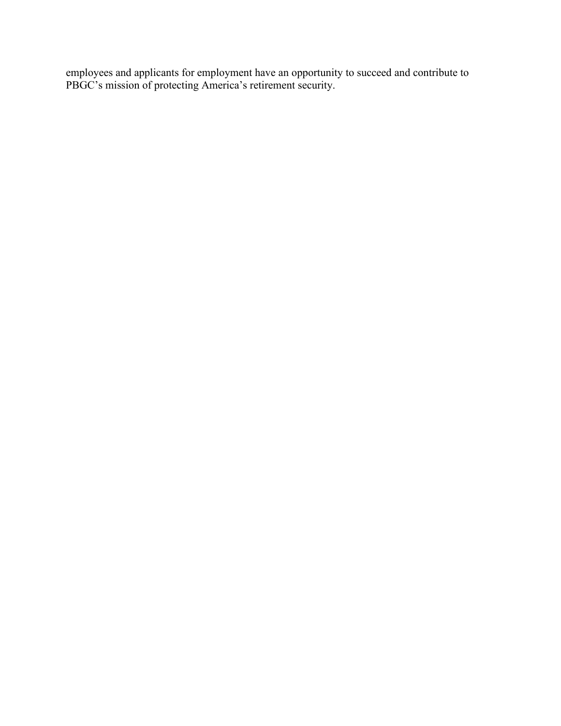employees and applicants for employment have an opportunity to succeed and contribute to PBGC's mission of protecting America's retirement security.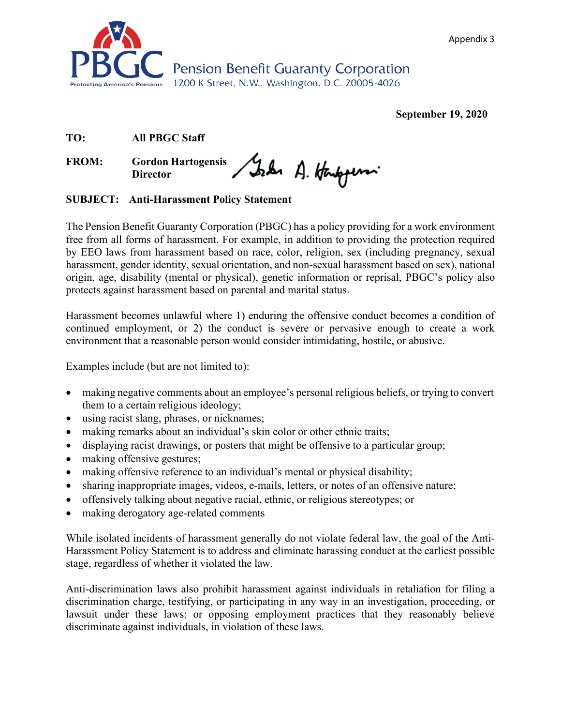Appendix 3



**September 19, 2020** 

## **TO: All PBGC Staff**

FROM: Gordon Hartogensis Stade A. Honopen **Director**

# **SUBJECT: Anti-Harassment Policy Statement**

The Pension Benefit Guaranty Corporation (PBGC) has a policy providing for a work environment free from all forms of harassment. For example, in addition to providing the protection required by EEO laws from harassment based on race, color, religion, sex (including pregnancy, sexual harassment, gender identity, sexual orientation, and non-sexual harassment based on sex), national origin, age, disability (mental or physical), genetic information or reprisal, PBGC's policy also protects against harassment based on parental and marital status.

Harassment becomes unlawful where 1) enduring the offensive conduct becomes a condition of continued employment, or 2) the conduct is severe or pervasive enough to create a work environment that a reasonable person would consider intimidating, hostile, or abusive.

Examples include (but are not limited to):

- making negative comments about an employee's personal religious beliefs, or trying to convert them to a certain religious ideology;
- using racist slang, phrases, or nicknames;
- making remarks about an individual's skin color or other ethnic traits;
- displaying racist drawings, or posters that might be offensive to a particular group;
- making offensive gestures;
- making offensive reference to an individual's mental or physical disability;
- sharing inappropriate images, videos, e-mails, letters, or notes of an offensive nature;
- offensively talking about negative racial, ethnic, or religious stereotypes; or
- making derogatory age-related comments

While isolated incidents of harassment generally do not violate federal law, the goal of the Anti-Harassment Policy Statement is to address and eliminate harassing conduct at the earliest possible stage, regardless of whether it violated the law.

Anti-discrimination laws also prohibit harassment against individuals in retaliation for filing a discrimination charge, testifying, or participating in any way in an investigation, proceeding, or lawsuit under these laws; or opposing employment practices that they reasonably believe discriminate against individuals, in violation of these laws.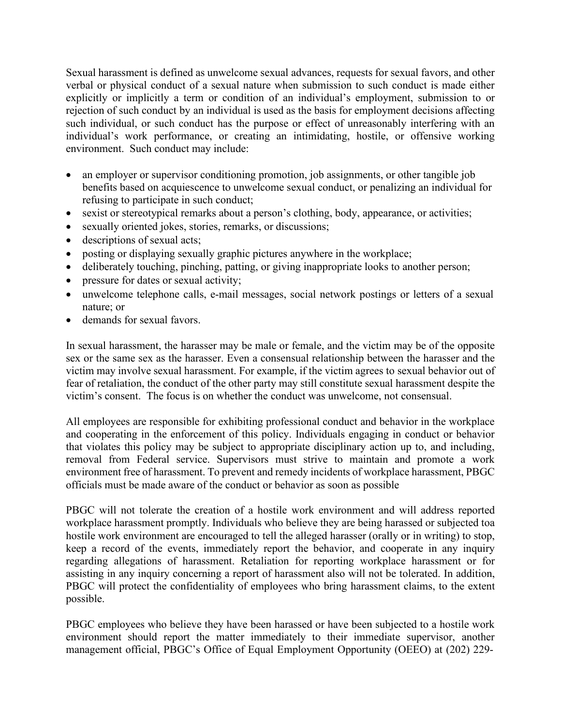Sexual harassment is defined as unwelcome sexual advances, requests for sexual favors, and other verbal or physical conduct of a sexual nature when submission to such conduct is made either explicitly or implicitly a term or condition of an individual's employment, submission to or rejection of such conduct by an individual is used as the basis for employment decisions affecting such individual, or such conduct has the purpose or effect of unreasonably interfering with an individual's work performance, or creating an intimidating, hostile, or offensive working environment. Such conduct may include:

- an employer or supervisor conditioning promotion, job assignments, or other tangible job benefits based on acquiescence to unwelcome sexual conduct, or penalizing an individual for refusing to participate in such conduct;
- sexist or stereotypical remarks about a person's clothing, body, appearance, or activities;
- sexually oriented jokes, stories, remarks, or discussions;
- descriptions of sexual acts;
- posting or displaying sexually graphic pictures anywhere in the workplace;
- deliberately touching, pinching, patting, or giving inappropriate looks to another person;
- pressure for dates or sexual activity;
- unwelcome telephone calls, e-mail messages, social network postings or letters of a sexual nature; or
- demands for sexual favors.

In sexual harassment, the harasser may be male or female, and the victim may be of the opposite sex or the same sex as the harasser. Even a consensual relationship between the harasser and the victim may involve sexual harassment. For example, if the victim agrees to sexual behavior out of fear of retaliation, the conduct of the other party may still constitute sexual harassment despite the victim's consent. The focus is on whether the conduct was unwelcome, not consensual.

All employees are responsible for exhibiting professional conduct and behavior in the workplace and cooperating in the enforcement of this policy. Individuals engaging in conduct or behavior that violates this policy may be subject to appropriate disciplinary action up to, and including, removal from Federal service. Supervisors must strive to maintain and promote a work environment free of harassment. To prevent and remedy incidents of workplace harassment, PBGC officials must be made aware of the conduct or behavior as soon as possible

PBGC will not tolerate the creation of a hostile work environment and will address reported workplace harassment promptly. Individuals who believe they are being harassed or subjected toa hostile work environment are encouraged to tell the alleged harasser (orally or in writing) to stop, keep a record of the events, immediately report the behavior, and cooperate in any inquiry regarding allegations of harassment. Retaliation for reporting workplace harassment or for assisting in any inquiry concerning a report of harassment also will not be tolerated. In addition, PBGC will protect the confidentiality of employees who bring harassment claims, to the extent possible.

PBGC employees who believe they have been harassed or have been subjected to a hostile work environment should report the matter immediately to their immediate supervisor, another management official, PBGC's Office of Equal Employment Opportunity (OEEO) at (202) 229